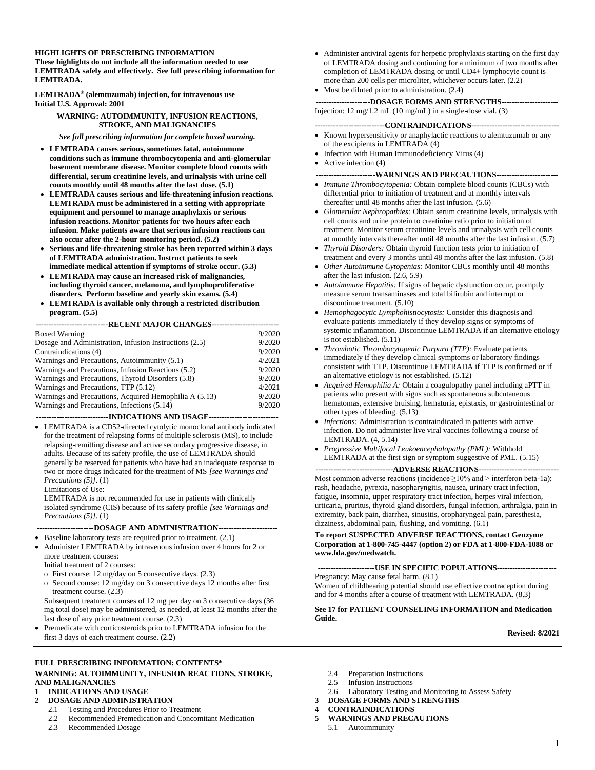# **HIGHLIGHTS OF PRESCRIBING INFORMATION**

**These highlights do not include all the information needed to use LEMTRADA safely and effectively. See full prescribing information for LEMTRADA.**

**LEMTRADA® (alemtuzumab) injection, for intravenous use Initial U.S. Approval: 2001**

#### **WARNING: AUTOIMMUNITY, INFUSION REACTIONS, STROKE, AND MALIGNANCIES**

*See full prescribing information for complete boxed warning.*

- **LEMTRADA causes serious, sometimes fatal, autoimmune conditions such as immune thrombocytopenia and anti-glomerular basement membrane disease. Monitor complete blood counts with differential, serum creatinine levels, and urinalysis with urine cell counts monthly until 48 months after the last dose. (5.1)**
- **LEMTRADA causes serious and life-threatening infusion reactions. LEMTRADA must be administered in a setting with appropriate equipment and personnel to manage anaphylaxis or serious infusion reactions. Monitor patients for two hours after each infusion. Make patients aware that serious infusion reactions can also occur after the 2-hour monitoring period. (5.2)**
- **Serious and life-threatening stroke has been reported within 3 days of LEMTRADA administration. Instruct patients to seek immediate medical attention if symptoms of stroke occur. (5.3)**
- **LEMTRADA may cause an increased risk of malignancies, including thyroid cancer, melanoma, and lymphoproliferative disorders. Perform baseline and yearly skin exams. (5.4)**
- **LEMTRADA is available only through a restricted distribution program. (5.5)**

| ----------------------------RECENT MAJOR CHANGES--------------------------- |        |
|-----------------------------------------------------------------------------|--------|
| <b>Boxed Warning</b>                                                        | 9/2020 |

| DOACU WAHIIIIE                                         | <i><b>214040</b></i> |
|--------------------------------------------------------|----------------------|
| Dosage and Administration, Infusion Instructions (2.5) | 9/2020               |
| Contraindications (4)                                  | 9/2020               |
| Warnings and Precautions, Autoimmunity (5.1)           | 4/2021               |
| Warnings and Precautions, Infusion Reactions (5.2)     | 9/2020               |
| Warnings and Precautions, Thyroid Disorders (5.8)      | 9/2020               |
| Warnings and Precautions, TTP (5.12)                   | 4/2021               |
| Warnings and Precautions, Acquired Hemophilia A (5.13) | 9/2020               |
| Warnings and Precautions. Infections (5.14)            | 9/2020               |

#### **----------------------------INDICATIONS AND USAGE---------------------------**

• LEMTRADA is a CD52-directed cytolytic monoclonal antibody indicated for the treatment of relapsing forms of multiple sclerosis (MS), to include relapsing-remitting disease and active secondary progressive disease, in adults. Because of its safety profile, the use of LEMTRADA should generally be reserved for patients who have had an inadequate response to two or more drugs indicated for the treatment of MS *[see Warnings and Precautions (5)]*. (1)

Limitations of Use:

LEMTRADA is not recommended for use in patients with clinically isolated syndrome (CIS) because of its safety profile *[see Warnings and Precautions (5)]*. (1)

#### **----------------------DOSAGE AND ADMINISTRATION-----------------------**

- Baseline laboratory tests are required prior to treatment. (2.1)
- Administer LEMTRADA by intravenous infusion over 4 hours for 2 or more treatment courses:
	- Initial treatment of 2 courses:
	- o First course: 12 mg/day on 5 consecutive days. (2.3)
	- o Second course: 12 mg/day on 3 consecutive days 12 months after first treatment course. (2.3)

Subsequent treatment courses of 12 mg per day on 3 consecutive days (36 mg total dose) may be administered, as needed, at least 12 months after the last dose of any prior treatment course. (2.3)

• Premedicate with corticosteroids prior to LEMTRADA infusion for the first 3 days of each treatment course. (2.2)

#### **FULL PRESCRIBING INFORMATION: CONTENTS\* WARNING: AUTOIMMUNITY, INFUSION REACTIONS, STROKE, AND MALIGNANCIES**

#### **1 INDICATIONS AND USAGE**

- **2 DOSAGE AND ADMINISTRATION**
	- 2.1 Testing and Procedures Prior to Treatment
	- 2.2 Recommended Premedication and Concomitant Medication
	- 2.3 Recommended Dosage
- Administer antiviral agents for herpetic prophylaxis starting on the first day of LEMTRADA dosing and continuing for a minimum of two months after completion of LEMTRADA dosing or until CD4+ lymphocyte count is more than 200 cells per microliter, whichever occurs later. (2.2)
- Must be diluted prior to administration.  $(2.4)$

**---------------------DOSAGE FORMS AND STRENGTHS----------------------** Injection: 12 mg/1.2 mL (10 mg/mL) in a single-dose vial. (3)

#### **---------------------------CONTRAINDICATIONS----------------------------------**

- Known hypersensitivity or anaphylactic reactions to alemtuzumab or any of the excipients in LEMTRADA (4)
- Infection with Human Immunodeficiency Virus (4) • Active infection (4)
- **-----------------------WARNINGS AND PRECAUTIONS------------------------**
- *Immune Thrombocytopenia:* Obtain complete blood counts (CBCs) with differential prior to initiation of treatment and at monthly intervals thereafter until 48 months after the last infusion. (5.6)
- *Glomerular Nephropathies:* Obtain serum creatinine levels, urinalysis with cell counts and urine protein to creatinine ratio prior to initiation of treatment. Monitor serum creatinine levels and urinalysis with cell counts at monthly intervals thereafter until 48 months after the last infusion. (5.7)
- *Thyroid Disorders:* Obtain thyroid function tests prior to initiation of treatment and every 3 months until 48 months after the last infusion. (5.8)
- *Other Autoimmune Cytopenias:* Monitor CBCs monthly until 48 months after the last infusion. (2.6, 5.9)
- *Autoimmune Hepatitis:* If signs of hepatic dysfunction occur, promptly measure serum transaminases and total bilirubin and interrupt or discontinue treatment. (5.10)
- *Hemophagocytic Lymphohistiocytosis:* Consider this diagnosis and evaluate patients immediately if they develop signs or symptoms of systemic inflammation. Discontinue LEMTRADA if an alternative etiology is not established. (5.11)
- *Thrombotic Thrombocytopenic Purpura (TTP):* Evaluate patients immediately if they develop clinical symptoms or laboratory findings consistent with TTP. Discontinue LEMTRADA if TTP is confirmed or if an alternative etiology is not established. (5.12)
- *Acquired Hemophilia A:* Obtain a coagulopathy panel including aPTT in patients who present with signs such as spontaneous subcutaneous hematomas, extensive bruising, hematuria, epistaxis, or gastrointestinal or other types of bleeding. (5.13)
- *Infections:* Administration is contraindicated in patients with active infection. Do not administer live viral vaccines following a course of LEMTRADA. (4, 5.14)
- *Progressive Multifocal Leukoencephalopathy (PML):* Withhold LEMTRADA at the first sign or symptom suggestive of PML. (5.15)

#### **------------------------------ADVERSE REACTIONS-------------------------------**

Most common adverse reactions (incidence  $\geq$ 10% and > interferon beta-1a): rash, headache, pyrexia, nasopharyngitis, nausea, urinary tract infection, fatigue, insomnia, upper respiratory tract infection, herpes viral infection, urticaria, pruritus, thyroid gland disorders, fungal infection, arthralgia, pain in extremity, back pain, diarrhea, sinusitis, oropharyngeal pain, paresthesia, dizziness, abdominal pain, flushing, and vomiting. (6.1)

#### **To report SUSPECTED ADVERSE REACTIONS, contact Genzyme Corporation at 1-800-745-4447 (option 2) or FDA at 1-800-FDA-1088 or www.fda.gov/medwatch.**

**----------------------USE IN SPECIFIC POPULATIONS-----------------------** Pregnancy: May cause fetal harm. (8.1)

Women of childbearing potential should use effective contraception during and for 4 months after a course of treatment with LEMTRADA. (8.3)

#### **See 17 for PATIENT COUNSELING INFORMATION and Medication Guide.**

**Revised: 8/2021** 

- 2.4 Preparation Instructions
- 2.5 Infusion Instructions
- 2.6 Laboratory Testing and Monitoring to Assess Safety
- **3 DOSAGE FORMS AND STRENGTHS**

#### **4 CONTRAINDICATIONS**

- **5 WARNINGS AND PRECAUTIONS**
	- 5.1 Autoimmunity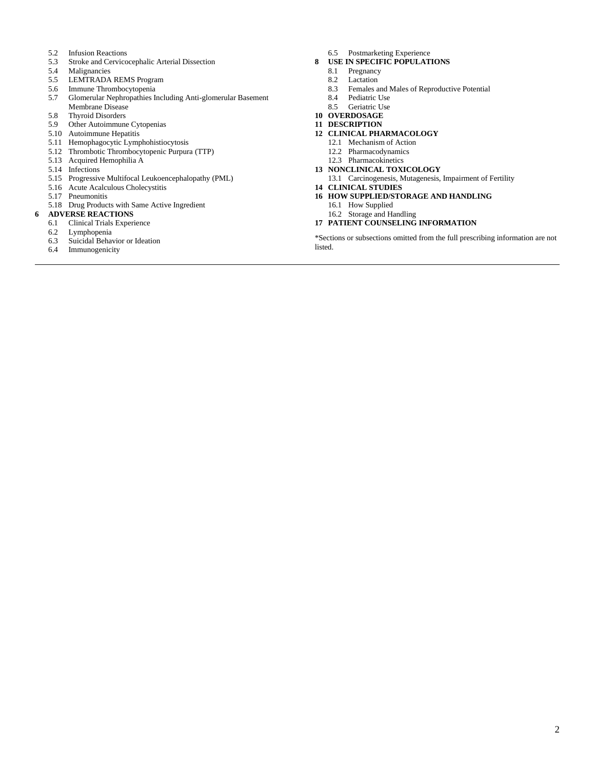- 5.2 Infusion Reactions
- 5.3 Stroke and Cervicocephalic Arterial Dissection
- 
- 5.4 Malignancies<br>5.5 LEMTRADA LEMTRADA REMS Program
- 5.6 Immune Thrombocytopenia
- 5.7 Glomerular Nephropathies Including Anti-glomerular Basement Membrane Disease
- 5.8 Thyroid Disorders
- 5.9 Other Autoimmune Cytopenias
- 5.10 Autoimmune Hepatitis
- 5.11 Hemophagocytic Lymphohistiocytosis
- 5.12 Thrombotic Thrombocytopenic Purpura (TTP)
- 5.13 Acquired Hemophilia A
- 5.14 Infections
- 5.15 Progressive Multifocal Leukoencephalopathy (PML)
- 5.16 Acute Acalculous Cholecystitis
- 5.17 Pneumonitis
- 5.18 Drug Products with Same Active Ingredient

#### **6 ADVERSE REACTIONS**

- 6.1 Clinical Trials Experience
- 6.2 Lymphopenia
- 6.3 Suicidal Behavior or Ideation<br>6.4 Immunogenicity
- Immunogenicity
- 6.5 Postmarketing Experience
- **8 USE IN SPECIFIC POPULATIONS**
	- 8.1 Pregnancy<br>8.2 Lactation
	- Lactation
	- 8.3 Females and Males of Reproductive Potential<br>8.4 Pediatric Use
	- 8.4 Pediatric Use<br>8.5 Geriatric Use
	- Geriatric Use
- **10 OVERDOSAGE**
- **11 DESCRIPTION**

#### **12 CLINICAL PHARMACOLOGY**

- 12.1 Mechanism of Action
- 12.2 Pharmacodynamics
- 12.3 Pharmacokinetics
- **13 NONCLINICAL TOXICOLOGY**
	- 13.1 Carcinogenesis, Mutagenesis, Impairment of Fertility
- **14 CLINICAL STUDIES**
- **16 HOW SUPPLIED/STORAGE AND HANDLING**
	- 16.1 How Supplied
	- 16.2 Storage and Handling

#### **17 PATIENT COUNSELING INFORMATION**

\*Sections or subsections omitted from the full prescribing information are not listed.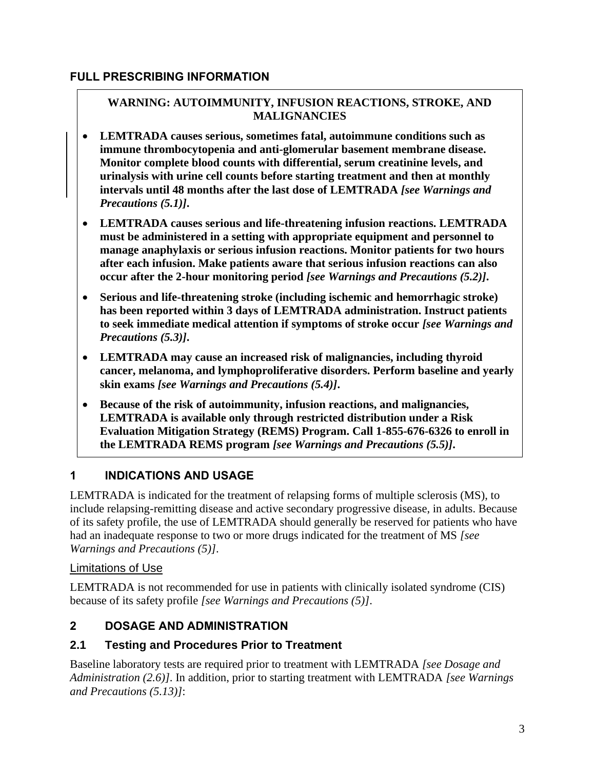#### **FULL PRESCRIBING INFORMATION**

#### **WARNING: AUTOIMMUNITY, INFUSION REACTIONS, STROKE, AND MALIGNANCIES**

- **LEMTRADA causes serious, sometimes fatal, autoimmune conditions such as immune thrombocytopenia and anti-glomerular basement membrane disease. Monitor complete blood counts with differential, serum creatinine levels, and urinalysis with urine cell counts before starting treatment and then at monthly intervals until 48 months after the last dose of LEMTRADA** *[see Warnings and Precautions (5.1)]***.**
- **LEMTRADA causes serious and life-threatening infusion reactions. LEMTRADA must be administered in a setting with appropriate equipment and personnel to manage anaphylaxis or serious infusion reactions. Monitor patients for two hours after each infusion. Make patients aware that serious infusion reactions can also occur after the 2-hour monitoring period** *[see Warnings and Precautions (5.2)]***.**
- **Serious and life-threatening stroke (including ischemic and hemorrhagic stroke) has been reported within 3 days of LEMTRADA administration. Instruct patients to seek immediate medical attention if symptoms of stroke occur** *[see Warnings and Precautions (5.3)]***.**
- **LEMTRADA may cause an increased risk of malignancies, including thyroid cancer, melanoma, and lymphoproliferative disorders. Perform baseline and yearly skin exams** *[see Warnings and Precautions (5.4)]***.**
- **Because of the risk of autoimmunity, infusion reactions, and malignancies, LEMTRADA is available only through restricted distribution under a Risk Evaluation Mitigation Strategy (REMS) Program. Call 1-855-676-6326 to enroll in the LEMTRADA REMS program** *[see Warnings and Precautions (5.5)]***.**

## **1 INDICATIONS AND USAGE**

LEMTRADA is indicated for the treatment of relapsing forms of multiple sclerosis (MS), to include relapsing-remitting disease and active secondary progressive disease, in adults. Because of its safety profile, the use of LEMTRADA should generally be reserved for patients who have had an inadequate response to two or more drugs indicated for the treatment of MS *[see Warnings and Precautions (5)]*.

## Limitations of Use

LEMTRADA is not recommended for use in patients with clinically isolated syndrome (CIS) because of its safety profile *[see Warnings and Precautions (5)]*.

# **2 DOSAGE AND ADMINISTRATION**

## **2.1 Testing and Procedures Prior to Treatment**

Baseline laboratory tests are required prior to treatment with LEMTRADA *[see Dosage and Administration (2.6)]*. In addition, prior to starting treatment with LEMTRADA *[see Warnings and Precautions (5.13)]*: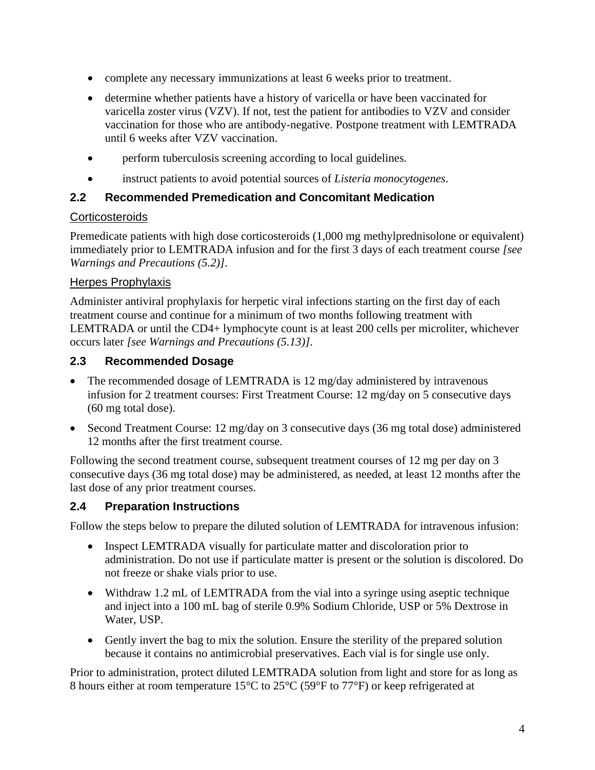- complete any necessary immunizations at least 6 weeks prior to treatment.
- determine whether patients have a history of varicella or have been vaccinated for varicella zoster virus (VZV). If not, test the patient for antibodies to VZV and consider vaccination for those who are antibody-negative. Postpone treatment with LEMTRADA until 6 weeks after VZV vaccination.
- perform tuberculosis screening according to local guidelines.
- instruct patients to avoid potential sources of *Listeria monocytogenes*.

#### **2.2 Recommended Premedication and Concomitant Medication**

#### **Corticosteroids**

Premedicate patients with high dose corticosteroids (1,000 mg methylprednisolone or equivalent) immediately prior to LEMTRADA infusion and for the first 3 days of each treatment course *[see Warnings and Precautions (5.2)]*.

#### **Herpes Prophylaxis**

Administer antiviral prophylaxis for herpetic viral infections starting on the first day of each treatment course and continue for a minimum of two months following treatment with LEMTRADA or until the CD4+ lymphocyte count is at least 200 cells per microliter, whichever occurs later *[see Warnings and Precautions (5.13)]*.

#### **2.3 Recommended Dosage**

- The recommended dosage of LEMTRADA is 12 mg/day administered by intravenous infusion for 2 treatment courses: First Treatment Course: 12 mg/day on 5 consecutive days (60 mg total dose).
- Second Treatment Course: 12 mg/day on 3 consecutive days (36 mg total dose) administered 12 months after the first treatment course.

Following the second treatment course, subsequent treatment courses of 12 mg per day on 3 consecutive days (36 mg total dose) may be administered, as needed, at least 12 months after the last dose of any prior treatment courses.

#### **2.4 Preparation Instructions**

Follow the steps below to prepare the diluted solution of LEMTRADA for intravenous infusion:

- Inspect LEMTRADA visually for particulate matter and discoloration prior to administration. Do not use if particulate matter is present or the solution is discolored. Do not freeze or shake vials prior to use.
- Withdraw 1.2 mL of LEMTRADA from the vial into a syringe using aseptic technique and inject into a 100 mL bag of sterile 0.9% Sodium Chloride, USP or 5% Dextrose in Water, USP.
- Gently invert the bag to mix the solution. Ensure the sterility of the prepared solution because it contains no antimicrobial preservatives. Each vial is for single use only.

Prior to administration, protect diluted LEMTRADA solution from light and store for as long as 8 hours either at room temperature 15°C to 25°C (59°F to 77°F) or keep refrigerated at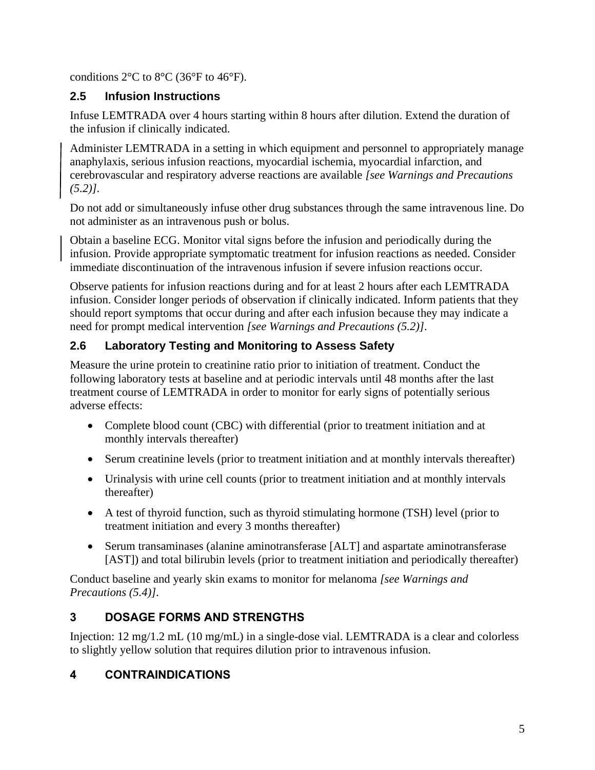conditions  $2^{\circ}$ C to  $8^{\circ}$ C (36 $^{\circ}$ F to 46 $^{\circ}$ F).

## **2.5 Infusion Instructions**

Infuse LEMTRADA over 4 hours starting within 8 hours after dilution. Extend the duration of the infusion if clinically indicated.

Administer LEMTRADA in a setting in which equipment and personnel to appropriately manage anaphylaxis, serious infusion reactions, myocardial ischemia, myocardial infarction, and cerebrovascular and respiratory adverse reactions are available *[see Warnings and Precautions (5.2)]*.

Do not add or simultaneously infuse other drug substances through the same intravenous line. Do not administer as an intravenous push or bolus.

Obtain a baseline ECG. Monitor vital signs before the infusion and periodically during the infusion. Provide appropriate symptomatic treatment for infusion reactions as needed. Consider immediate discontinuation of the intravenous infusion if severe infusion reactions occur.

Observe patients for infusion reactions during and for at least 2 hours after each LEMTRADA infusion. Consider longer periods of observation if clinically indicated. Inform patients that they should report symptoms that occur during and after each infusion because they may indicate a need for prompt medical intervention *[see Warnings and Precautions (5.2)]*.

# **2.6 Laboratory Testing and Monitoring to Assess Safety**

Measure the urine protein to creatinine ratio prior to initiation of treatment. Conduct the following laboratory tests at baseline and at periodic intervals until 48 months after the last treatment course of LEMTRADA in order to monitor for early signs of potentially serious adverse effects:

- Complete blood count (CBC) with differential (prior to treatment initiation and at monthly intervals thereafter)
- Serum creatinine levels (prior to treatment initiation and at monthly intervals thereafter)
- Urinalysis with urine cell counts (prior to treatment initiation and at monthly intervals thereafter)
- A test of thyroid function, such as thyroid stimulating hormone (TSH) level (prior to treatment initiation and every 3 months thereafter)
- Serum transaminases (alanine aminotransferase [ALT] and aspartate aminotransferase [AST]) and total bilirubin levels (prior to treatment initiation and periodically thereafter)

Conduct baseline and yearly skin exams to monitor for melanoma *[see Warnings and Precautions (5.4)]*.

# **3 DOSAGE FORMS AND STRENGTHS**

Injection: 12 mg/1.2 mL (10 mg/mL) in a single-dose vial. LEMTRADA is a clear and colorless to slightly yellow solution that requires dilution prior to intravenous infusion.

# **4 CONTRAINDICATIONS**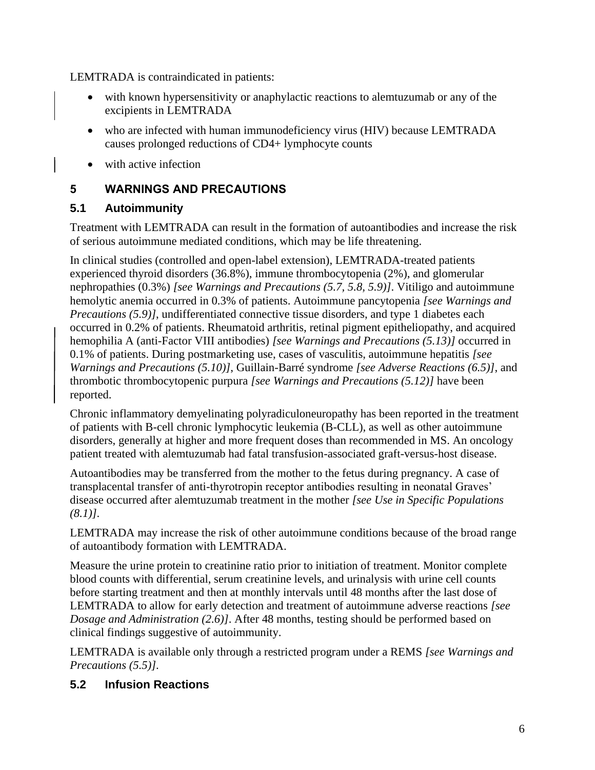LEMTRADA is contraindicated in patients:

- with known hypersensitivity or anaphylactic reactions to alemtuzumab or any of the excipients in LEMTRADA
- who are infected with human immunodeficiency virus (HIV) because LEMTRADA causes prolonged reductions of CD4+ lymphocyte counts
- with active infection

## **5 WARNINGS AND PRECAUTIONS**

## **5.1 Autoimmunity**

Treatment with LEMTRADA can result in the formation of autoantibodies and increase the risk of serious autoimmune mediated conditions, which may be life threatening.

In clinical studies (controlled and open-label extension), LEMTRADA-treated patients experienced thyroid disorders (36.8%), immune thrombocytopenia (2%), and glomerular nephropathies (0.3%) *[see Warnings and Precautions (5.7, 5.8, 5.9)]*. Vitiligo and autoimmune hemolytic anemia occurred in 0.3% of patients. Autoimmune pancytopenia *[see Warnings and Precautions (5.9)]*, undifferentiated connective tissue disorders, and type 1 diabetes each occurred in 0.2% of patients. Rheumatoid arthritis, retinal pigment epitheliopathy, and acquired hemophilia A (anti-Factor VIII antibodies) *[see Warnings and Precautions (5.13)]* occurred in 0.1% of patients. During postmarketing use, cases of vasculitis, autoimmune hepatitis *[see Warnings and Precautions (5.10)]*, Guillain-Barré syndrome *[see Adverse Reactions (6.5)]*, and thrombotic thrombocytopenic purpura *[see Warnings and Precautions (5.12)]* have been reported.

Chronic inflammatory demyelinating polyradiculoneuropathy has been reported in the treatment of patients with B-cell chronic lymphocytic leukemia (B-CLL), as well as other autoimmune disorders, generally at higher and more frequent doses than recommended in MS. An oncology patient treated with alemtuzumab had fatal transfusion-associated graft-versus-host disease.

Autoantibodies may be transferred from the mother to the fetus during pregnancy. A case of transplacental transfer of anti-thyrotropin receptor antibodies resulting in neonatal Graves' disease occurred after alemtuzumab treatment in the mother *[see Use in Specific Populations (8.1)]*.

LEMTRADA may increase the risk of other autoimmune conditions because of the broad range of autoantibody formation with LEMTRADA.

Measure the urine protein to creatinine ratio prior to initiation of treatment. Monitor complete blood counts with differential, serum creatinine levels, and urinalysis with urine cell counts before starting treatment and then at monthly intervals until 48 months after the last dose of LEMTRADA to allow for early detection and treatment of autoimmune adverse reactions *[see Dosage and Administration (2.6)]*. After 48 months, testing should be performed based on clinical findings suggestive of autoimmunity.

LEMTRADA is available only through a restricted program under a REMS *[see Warnings and Precautions (5.5)]*.

## **5.2 Infusion Reactions**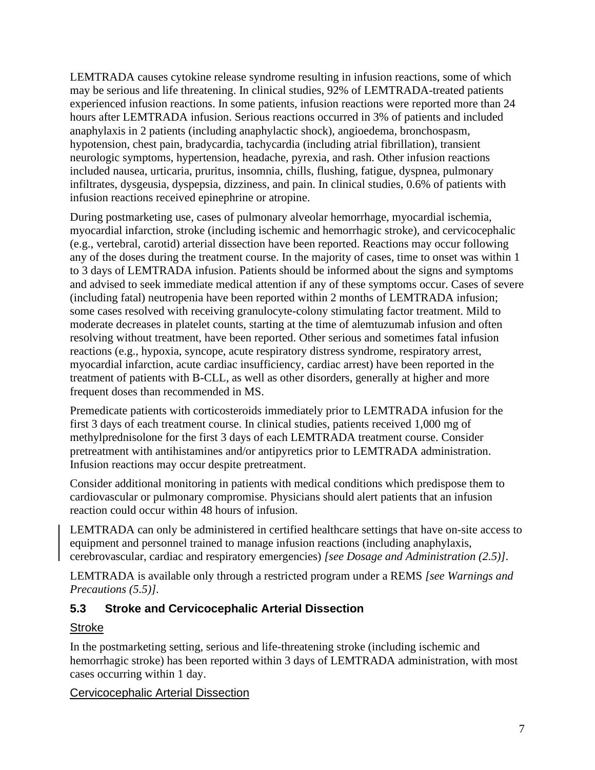LEMTRADA causes cytokine release syndrome resulting in infusion reactions, some of which may be serious and life threatening. In clinical studies, 92% of LEMTRADA-treated patients experienced infusion reactions. In some patients, infusion reactions were reported more than 24 hours after LEMTRADA infusion. Serious reactions occurred in 3% of patients and included anaphylaxis in 2 patients (including anaphylactic shock), angioedema, bronchospasm, hypotension, chest pain, bradycardia, tachycardia (including atrial fibrillation), transient neurologic symptoms, hypertension, headache, pyrexia, and rash. Other infusion reactions included nausea, urticaria, pruritus, insomnia, chills, flushing, fatigue, dyspnea, pulmonary infiltrates, dysgeusia, dyspepsia, dizziness, and pain. In clinical studies, 0.6% of patients with infusion reactions received epinephrine or atropine.

During postmarketing use, cases of pulmonary alveolar hemorrhage, myocardial ischemia, myocardial infarction, stroke (including ischemic and hemorrhagic stroke), and cervicocephalic (e.g., vertebral, carotid) arterial dissection have been reported. Reactions may occur following any of the doses during the treatment course. In the majority of cases, time to onset was within 1 to 3 days of LEMTRADA infusion. Patients should be informed about the signs and symptoms and advised to seek immediate medical attention if any of these symptoms occur. Cases of severe (including fatal) neutropenia have been reported within 2 months of LEMTRADA infusion; some cases resolved with receiving granulocyte-colony stimulating factor treatment. Mild to moderate decreases in platelet counts, starting at the time of alemtuzumab infusion and often resolving without treatment, have been reported. Other serious and sometimes fatal infusion reactions (e.g., hypoxia, syncope, acute respiratory distress syndrome, respiratory arrest, myocardial infarction, acute cardiac insufficiency, cardiac arrest) have been reported in the treatment of patients with B-CLL, as well as other disorders, generally at higher and more frequent doses than recommended in MS.

Premedicate patients with corticosteroids immediately prior to LEMTRADA infusion for the first 3 days of each treatment course. In clinical studies, patients received 1,000 mg of methylprednisolone for the first 3 days of each LEMTRADA treatment course. Consider pretreatment with antihistamines and/or antipyretics prior to LEMTRADA administration. Infusion reactions may occur despite pretreatment.

Consider additional monitoring in patients with medical conditions which predispose them to cardiovascular or pulmonary compromise. Physicians should alert patients that an infusion reaction could occur within 48 hours of infusion.

LEMTRADA can only be administered in certified healthcare settings that have on-site access to equipment and personnel trained to manage infusion reactions (including anaphylaxis, cerebrovascular, cardiac and respiratory emergencies) *[see Dosage and Administration (2.5)]*.

LEMTRADA is available only through a restricted program under a REMS *[see Warnings and Precautions (5.5)]*.

#### **5.3 Stroke and Cervicocephalic Arterial Dissection**

#### **Stroke**

In the postmarketing setting, serious and life-threatening stroke (including ischemic and hemorrhagic stroke) has been reported within 3 days of LEMTRADA administration, with most cases occurring within 1 day.

#### Cervicocephalic Arterial Dissection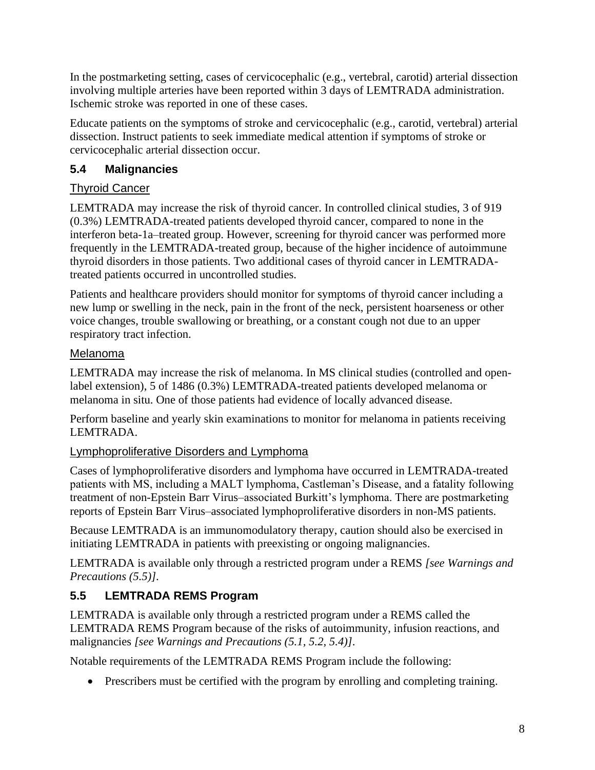In the postmarketing setting, cases of cervicocephalic (e.g., vertebral, carotid) arterial dissection involving multiple arteries have been reported within 3 days of LEMTRADA administration. Ischemic stroke was reported in one of these cases.

Educate patients on the symptoms of stroke and cervicocephalic (e.g., carotid, vertebral) arterial dissection. Instruct patients to seek immediate medical attention if symptoms of stroke or cervicocephalic arterial dissection occur.

# **5.4 Malignancies**

## Thyroid Cancer

LEMTRADA may increase the risk of thyroid cancer. In controlled clinical studies, 3 of 919 (0.3%) LEMTRADA-treated patients developed thyroid cancer, compared to none in the interferon beta-1a–treated group. However, screening for thyroid cancer was performed more frequently in the LEMTRADA-treated group, because of the higher incidence of autoimmune thyroid disorders in those patients. Two additional cases of thyroid cancer in LEMTRADAtreated patients occurred in uncontrolled studies.

Patients and healthcare providers should monitor for symptoms of thyroid cancer including a new lump or swelling in the neck, pain in the front of the neck, persistent hoarseness or other voice changes, trouble swallowing or breathing, or a constant cough not due to an upper respiratory tract infection.

#### Melanoma

LEMTRADA may increase the risk of melanoma. In MS clinical studies (controlled and openlabel extension), 5 of 1486 (0.3%) LEMTRADA-treated patients developed melanoma or melanoma in situ. One of those patients had evidence of locally advanced disease.

Perform baseline and yearly skin examinations to monitor for melanoma in patients receiving LEMTRADA.

## Lymphoproliferative Disorders and Lymphoma

Cases of lymphoproliferative disorders and lymphoma have occurred in LEMTRADA-treated patients with MS, including a MALT lymphoma, Castleman's Disease, and a fatality following treatment of non-Epstein Barr Virus–associated Burkitt's lymphoma. There are postmarketing reports of Epstein Barr Virus–associated lymphoproliferative disorders in non-MS patients.

Because LEMTRADA is an immunomodulatory therapy, caution should also be exercised in initiating LEMTRADA in patients with preexisting or ongoing malignancies.

LEMTRADA is available only through a restricted program under a REMS *[see Warnings and Precautions (5.5)]*.

# **5.5 LEMTRADA REMS Program**

LEMTRADA is available only through a restricted program under a REMS called the LEMTRADA REMS Program because of the risks of autoimmunity, infusion reactions, and malignancies *[see Warnings and Precautions (5.1, 5.2, 5.4)]*.

Notable requirements of the LEMTRADA REMS Program include the following:

• Prescribers must be certified with the program by enrolling and completing training.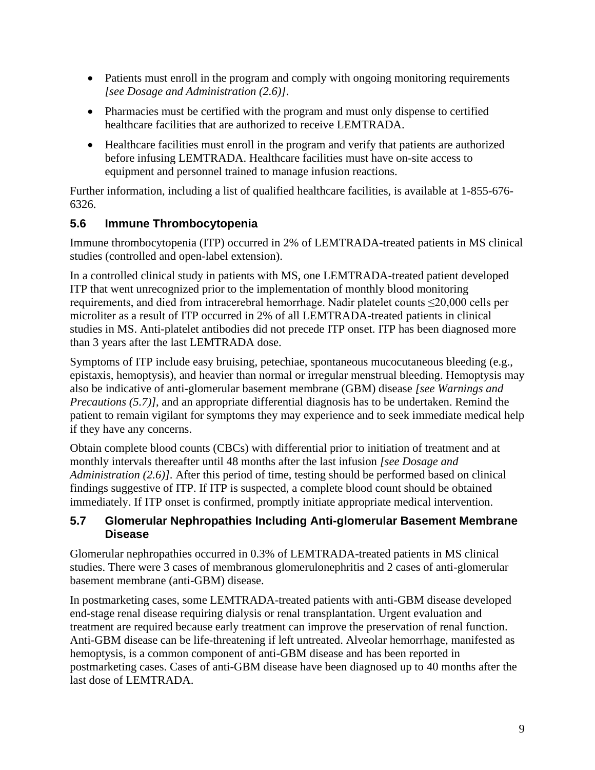- Patients must enroll in the program and comply with ongoing monitoring requirements *[see Dosage and Administration (2.6)]*.
- Pharmacies must be certified with the program and must only dispense to certified healthcare facilities that are authorized to receive LEMTRADA.
- Healthcare facilities must enroll in the program and verify that patients are authorized before infusing LEMTRADA. Healthcare facilities must have on-site access to equipment and personnel trained to manage infusion reactions.

Further information, including a list of qualified healthcare facilities, is available at 1-855-676- 6326.

## **5.6 Immune Thrombocytopenia**

Immune thrombocytopenia (ITP) occurred in 2% of LEMTRADA-treated patients in MS clinical studies (controlled and open-label extension).

In a controlled clinical study in patients with MS, one LEMTRADA-treated patient developed ITP that went unrecognized prior to the implementation of monthly blood monitoring requirements, and died from intracerebral hemorrhage. Nadir platelet counts ≤20,000 cells per microliter as a result of ITP occurred in 2% of all LEMTRADA-treated patients in clinical studies in MS. Anti-platelet antibodies did not precede ITP onset. ITP has been diagnosed more than 3 years after the last LEMTRADA dose.

Symptoms of ITP include easy bruising, petechiae, spontaneous mucocutaneous bleeding (e.g., epistaxis, hemoptysis), and heavier than normal or irregular menstrual bleeding. Hemoptysis may also be indicative of anti-glomerular basement membrane (GBM) disease *[see Warnings and Precautions (5.7)]*, and an appropriate differential diagnosis has to be undertaken. Remind the patient to remain vigilant for symptoms they may experience and to seek immediate medical help if they have any concerns.

Obtain complete blood counts (CBCs) with differential prior to initiation of treatment and at monthly intervals thereafter until 48 months after the last infusion *[see Dosage and Administration (2.6)]*. After this period of time, testing should be performed based on clinical findings suggestive of ITP. If ITP is suspected, a complete blood count should be obtained immediately. If ITP onset is confirmed, promptly initiate appropriate medical intervention.

#### **5.7 Glomerular Nephropathies Including Anti-glomerular Basement Membrane Disease**

Glomerular nephropathies occurred in 0.3% of LEMTRADA-treated patients in MS clinical studies. There were 3 cases of membranous glomerulonephritis and 2 cases of anti-glomerular basement membrane (anti-GBM) disease.

In postmarketing cases, some LEMTRADA-treated patients with anti-GBM disease developed end-stage renal disease requiring dialysis or renal transplantation. Urgent evaluation and treatment are required because early treatment can improve the preservation of renal function. Anti-GBM disease can be life-threatening if left untreated. Alveolar hemorrhage, manifested as hemoptysis, is a common component of anti-GBM disease and has been reported in postmarketing cases. Cases of anti-GBM disease have been diagnosed up to 40 months after the last dose of LEMTRADA.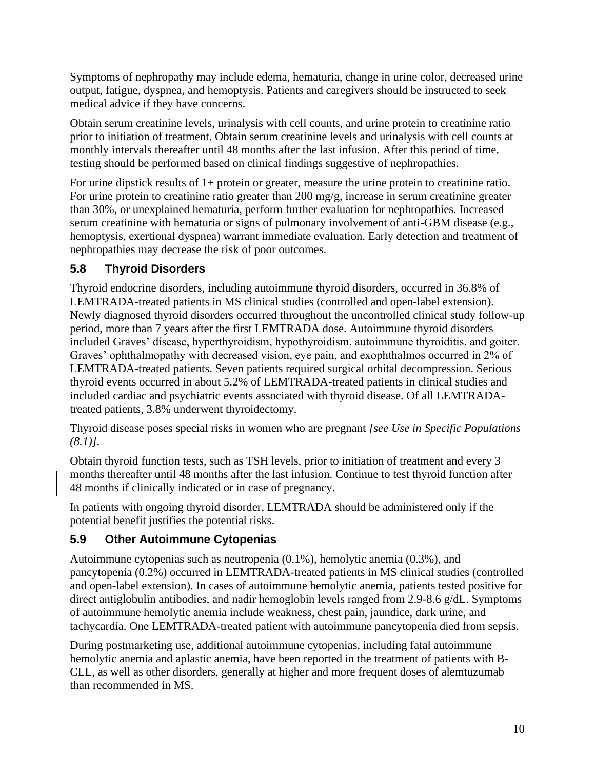Symptoms of nephropathy may include edema, hematuria, change in urine color, decreased urine output, fatigue, dyspnea, and hemoptysis. Patients and caregivers should be instructed to seek medical advice if they have concerns.

Obtain serum creatinine levels, urinalysis with cell counts, and urine protein to creatinine ratio prior to initiation of treatment. Obtain serum creatinine levels and urinalysis with cell counts at monthly intervals thereafter until 48 months after the last infusion. After this period of time, testing should be performed based on clinical findings suggestive of nephropathies.

For urine dipstick results of 1+ protein or greater, measure the urine protein to creatinine ratio. For urine protein to creatinine ratio greater than 200 mg/g, increase in serum creatinine greater than 30%, or unexplained hematuria, perform further evaluation for nephropathies. Increased serum creatinine with hematuria or signs of pulmonary involvement of anti-GBM disease (e.g., hemoptysis, exertional dyspnea) warrant immediate evaluation. Early detection and treatment of nephropathies may decrease the risk of poor outcomes.

## **5.8 Thyroid Disorders**

Thyroid endocrine disorders, including autoimmune thyroid disorders, occurred in 36.8% of LEMTRADA-treated patients in MS clinical studies (controlled and open-label extension). Newly diagnosed thyroid disorders occurred throughout the uncontrolled clinical study follow-up period, more than 7 years after the first LEMTRADA dose. Autoimmune thyroid disorders included Graves' disease, hyperthyroidism, hypothyroidism, autoimmune thyroiditis, and goiter. Graves' ophthalmopathy with decreased vision, eye pain, and exophthalmos occurred in 2% of LEMTRADA-treated patients. Seven patients required surgical orbital decompression. Serious thyroid events occurred in about 5.2% of LEMTRADA-treated patients in clinical studies and included cardiac and psychiatric events associated with thyroid disease. Of all LEMTRADAtreated patients, 3.8% underwent thyroidectomy.

Thyroid disease poses special risks in women who are pregnant *[see Use in Specific Populations (8.1)]*.

Obtain thyroid function tests, such as TSH levels, prior to initiation of treatment and every 3 months thereafter until 48 months after the last infusion. Continue to test thyroid function after 48 months if clinically indicated or in case of pregnancy.

In patients with ongoing thyroid disorder, LEMTRADA should be administered only if the potential benefit justifies the potential risks.

## **5.9 Other Autoimmune Cytopenias**

Autoimmune cytopenias such as neutropenia (0.1%), hemolytic anemia (0.3%), and pancytopenia (0.2%) occurred in LEMTRADA-treated patients in MS clinical studies (controlled and open-label extension). In cases of autoimmune hemolytic anemia, patients tested positive for direct antiglobulin antibodies, and nadir hemoglobin levels ranged from 2.9-8.6 g/dL. Symptoms of autoimmune hemolytic anemia include weakness, chest pain, jaundice, dark urine, and tachycardia. One LEMTRADA-treated patient with autoimmune pancytopenia died from sepsis.

During postmarketing use, additional autoimmune cytopenias, including fatal autoimmune hemolytic anemia and aplastic anemia, have been reported in the treatment of patients with B-CLL, as well as other disorders, generally at higher and more frequent doses of alemtuzumab than recommended in MS.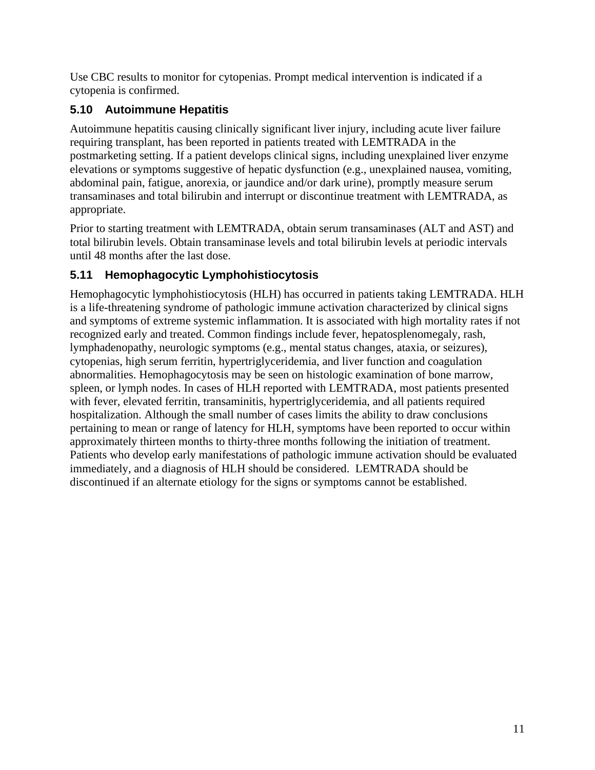Use CBC results to monitor for cytopenias. Prompt medical intervention is indicated if a cytopenia is confirmed.

# **5.10 Autoimmune Hepatitis**

Autoimmune hepatitis causing clinically significant liver injury, including acute liver failure requiring transplant, has been reported in patients treated with LEMTRADA in the postmarketing setting. If a patient develops clinical signs, including unexplained liver enzyme elevations or symptoms suggestive of hepatic dysfunction (e.g., unexplained nausea, vomiting, abdominal pain, fatigue, anorexia, or jaundice and/or dark urine), promptly measure serum transaminases and total bilirubin and interrupt or discontinue treatment with LEMTRADA, as appropriate.

Prior to starting treatment with LEMTRADA, obtain serum transaminases (ALT and AST) and total bilirubin levels. Obtain transaminase levels and total bilirubin levels at periodic intervals until 48 months after the last dose.

# **5.11 Hemophagocytic Lymphohistiocytosis**

Hemophagocytic lymphohistiocytosis (HLH) has occurred in patients taking LEMTRADA. HLH is a life-threatening syndrome of pathologic immune activation characterized by clinical signs and symptoms of extreme systemic inflammation. It is associated with high mortality rates if not recognized early and treated. Common findings include fever, hepatosplenomegaly, rash, lymphadenopathy, neurologic symptoms (e.g., mental status changes, ataxia, or seizures), cytopenias, high serum ferritin, hypertriglyceridemia, and liver function and coagulation abnormalities. Hemophagocytosis may be seen on histologic examination of bone marrow, spleen, or lymph nodes. In cases of HLH reported with LEMTRADA, most patients presented with fever, elevated ferritin, transaminitis, hypertriglyceridemia, and all patients required hospitalization. Although the small number of cases limits the ability to draw conclusions pertaining to mean or range of latency for HLH, symptoms have been reported to occur within approximately thirteen months to thirty-three months following the initiation of treatment. Patients who develop early manifestations of pathologic immune activation should be evaluated immediately, and a diagnosis of HLH should be considered. LEMTRADA should be discontinued if an alternate etiology for the signs or symptoms cannot be established.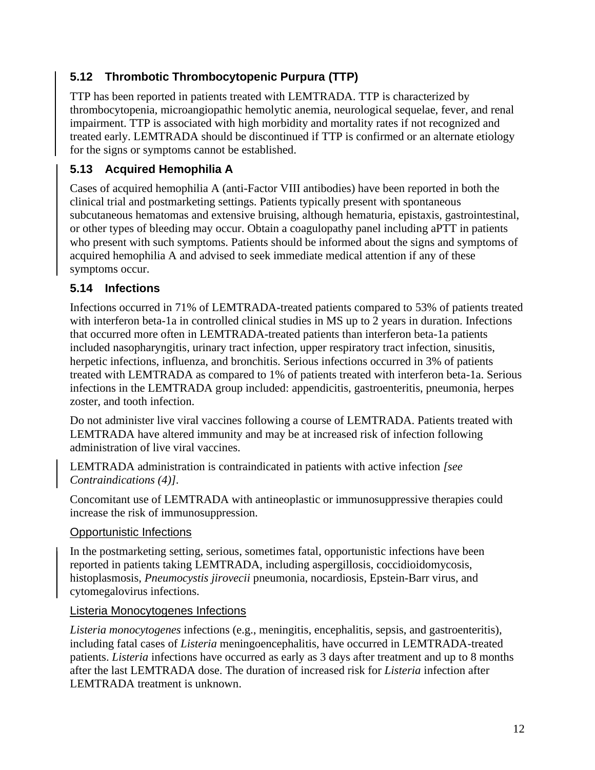## **5.12 Thrombotic Thrombocytopenic Purpura (TTP)**

TTP has been reported in patients treated with LEMTRADA. TTP is characterized by thrombocytopenia, microangiopathic hemolytic anemia, neurological sequelae, fever, and renal impairment. TTP is associated with high morbidity and mortality rates if not recognized and treated early. LEMTRADA should be discontinued if TTP is confirmed or an alternate etiology for the signs or symptoms cannot be established.

## **5.13 Acquired Hemophilia A**

Cases of acquired hemophilia A (anti-Factor VIII antibodies) have been reported in both the clinical trial and postmarketing settings. Patients typically present with spontaneous subcutaneous hematomas and extensive bruising, although hematuria, epistaxis, gastrointestinal, or other types of bleeding may occur. Obtain a coagulopathy panel including aPTT in patients who present with such symptoms. Patients should be informed about the signs and symptoms of acquired hemophilia A and advised to seek immediate medical attention if any of these symptoms occur.

## **5.14 Infections**

Infections occurred in 71% of LEMTRADA-treated patients compared to 53% of patients treated with interferon beta-1a in controlled clinical studies in MS up to 2 years in duration. Infections that occurred more often in LEMTRADA-treated patients than interferon beta-1a patients included nasopharyngitis, urinary tract infection, upper respiratory tract infection, sinusitis, herpetic infections, influenza, and bronchitis. Serious infections occurred in 3% of patients treated with LEMTRADA as compared to 1% of patients treated with interferon beta-1a. Serious infections in the LEMTRADA group included: appendicitis, gastroenteritis, pneumonia, herpes zoster, and tooth infection.

Do not administer live viral vaccines following a course of LEMTRADA. Patients treated with LEMTRADA have altered immunity and may be at increased risk of infection following administration of live viral vaccines.

LEMTRADA administration is contraindicated in patients with active infection *[see Contraindications (4)]*.

Concomitant use of LEMTRADA with antineoplastic or immunosuppressive therapies could increase the risk of immunosuppression.

#### Opportunistic Infections

In the postmarketing setting, serious, sometimes fatal, opportunistic infections have been reported in patients taking LEMTRADA, including aspergillosis, coccidioidomycosis, histoplasmosis, *Pneumocystis jirovecii* pneumonia, nocardiosis, Epstein-Barr virus, and cytomegalovirus infections.

#### Listeria Monocytogenes Infections

*Listeria monocytogenes* infections (e.g., meningitis, encephalitis, sepsis, and gastroenteritis), including fatal cases of *Listeria* meningoencephalitis, have occurred in LEMTRADA-treated patients. *Listeria* infections have occurred as early as 3 days after treatment and up to 8 months after the last LEMTRADA dose. The duration of increased risk for *Listeria* infection after LEMTRADA treatment is unknown.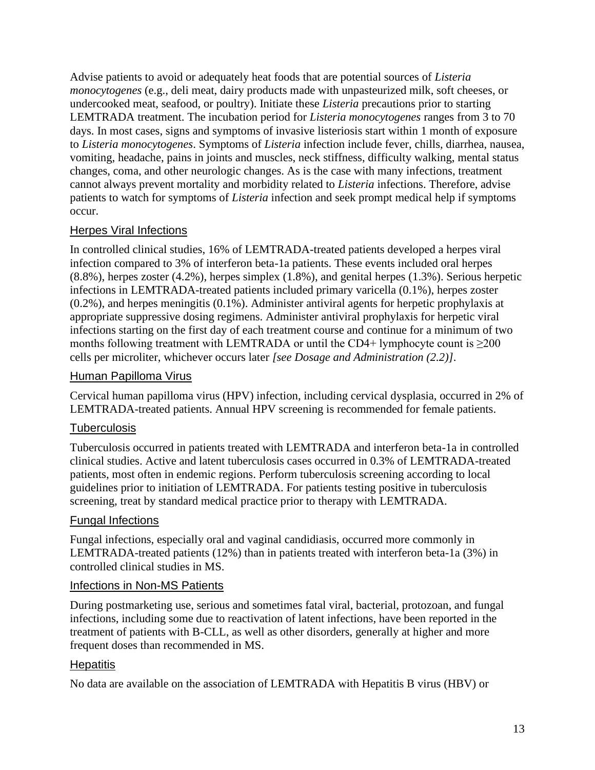Advise patients to avoid or adequately heat foods that are potential sources of *Listeria monocytogenes* (e.g., deli meat, dairy products made with unpasteurized milk, soft cheeses, or undercooked meat, seafood, or poultry). Initiate these *Listeria* precautions prior to starting LEMTRADA treatment. The incubation period for *Listeria monocytogenes* ranges from 3 to 70 days. In most cases, signs and symptoms of invasive listeriosis start within 1 month of exposure to *Listeria monocytogenes*. Symptoms of *Listeria* infection include fever, chills, diarrhea, nausea, vomiting, headache, pains in joints and muscles, neck stiffness, difficulty walking, mental status changes, coma, and other neurologic changes. As is the case with many infections, treatment cannot always prevent mortality and morbidity related to *Listeria* infections. Therefore, advise patients to watch for symptoms of *Listeria* infection and seek prompt medical help if symptoms occur.

#### Herpes Viral Infections

In controlled clinical studies, 16% of LEMTRADA-treated patients developed a herpes viral infection compared to 3% of interferon beta-1a patients. These events included oral herpes (8.8%), herpes zoster (4.2%), herpes simplex (1.8%), and genital herpes (1.3%). Serious herpetic infections in LEMTRADA-treated patients included primary varicella (0.1%), herpes zoster (0.2%), and herpes meningitis (0.1%). Administer antiviral agents for herpetic prophylaxis at appropriate suppressive dosing regimens. Administer antiviral prophylaxis for herpetic viral infections starting on the first day of each treatment course and continue for a minimum of two months following treatment with LEMTRADA or until the CD4+ lymphocyte count is  $\geq$ 200 cells per microliter, whichever occurs later *[see Dosage and Administration (2.2)]*.

#### Human Papilloma Virus

Cervical human papilloma virus (HPV) infection, including cervical dysplasia, occurred in 2% of LEMTRADA-treated patients. Annual HPV screening is recommended for female patients.

#### **Tuberculosis**

Tuberculosis occurred in patients treated with LEMTRADA and interferon beta-1a in controlled clinical studies. Active and latent tuberculosis cases occurred in 0.3% of LEMTRADA-treated patients, most often in endemic regions. Perform tuberculosis screening according to local guidelines prior to initiation of LEMTRADA. For patients testing positive in tuberculosis screening, treat by standard medical practice prior to therapy with LEMTRADA.

#### Fungal Infections

Fungal infections, especially oral and vaginal candidiasis, occurred more commonly in LEMTRADA-treated patients (12%) than in patients treated with interferon beta-1a (3%) in controlled clinical studies in MS.

#### Infections in Non-MS Patients

During postmarketing use, serious and sometimes fatal viral, bacterial, protozoan, and fungal infections, including some due to reactivation of latent infections, have been reported in the treatment of patients with B-CLL, as well as other disorders, generally at higher and more frequent doses than recommended in MS.

#### **Hepatitis**

No data are available on the association of LEMTRADA with Hepatitis B virus (HBV) or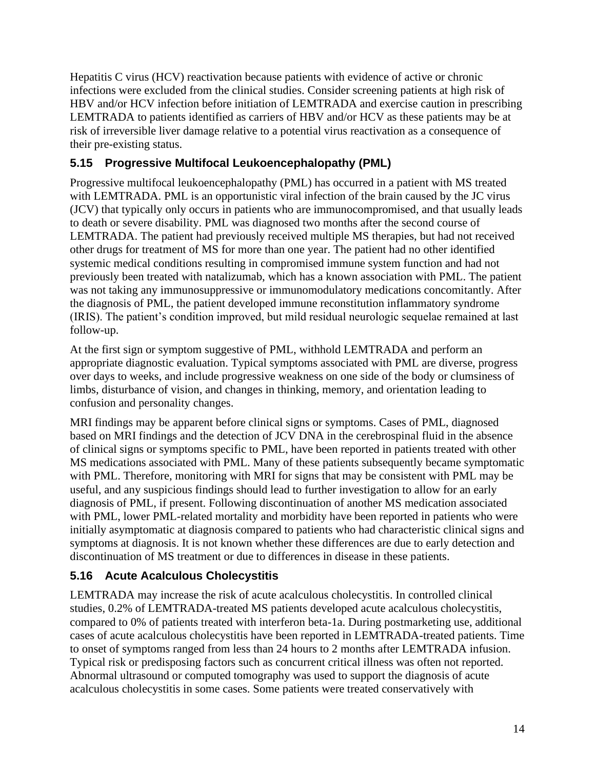Hepatitis C virus (HCV) reactivation because patients with evidence of active or chronic infections were excluded from the clinical studies. Consider screening patients at high risk of HBV and/or HCV infection before initiation of LEMTRADA and exercise caution in prescribing LEMTRADA to patients identified as carriers of HBV and/or HCV as these patients may be at risk of irreversible liver damage relative to a potential virus reactivation as a consequence of their pre-existing status.

## **5.15 Progressive Multifocal Leukoencephalopathy (PML)**

Progressive multifocal leukoencephalopathy (PML) has occurred in a patient with MS treated with LEMTRADA. PML is an opportunistic viral infection of the brain caused by the JC virus (JCV) that typically only occurs in patients who are immunocompromised, and that usually leads to death or severe disability. PML was diagnosed two months after the second course of LEMTRADA. The patient had previously received multiple MS therapies, but had not received other drugs for treatment of MS for more than one year. The patient had no other identified systemic medical conditions resulting in compromised immune system function and had not previously been treated with natalizumab, which has a known association with PML. The patient was not taking any immunosuppressive or immunomodulatory medications concomitantly. After the diagnosis of PML, the patient developed immune reconstitution inflammatory syndrome (IRIS). The patient's condition improved, but mild residual neurologic sequelae remained at last follow-up.

At the first sign or symptom suggestive of PML, withhold LEMTRADA and perform an appropriate diagnostic evaluation. Typical symptoms associated with PML are diverse, progress over days to weeks, and include progressive weakness on one side of the body or clumsiness of limbs, disturbance of vision, and changes in thinking, memory, and orientation leading to confusion and personality changes.

MRI findings may be apparent before clinical signs or symptoms. Cases of PML, diagnosed based on MRI findings and the detection of JCV DNA in the cerebrospinal fluid in the absence of clinical signs or symptoms specific to PML, have been reported in patients treated with other MS medications associated with PML. Many of these patients subsequently became symptomatic with PML. Therefore, monitoring with MRI for signs that may be consistent with PML may be useful, and any suspicious findings should lead to further investigation to allow for an early diagnosis of PML, if present. Following discontinuation of another MS medication associated with PML, lower PML-related mortality and morbidity have been reported in patients who were initially asymptomatic at diagnosis compared to patients who had characteristic clinical signs and symptoms at diagnosis. It is not known whether these differences are due to early detection and discontinuation of MS treatment or due to differences in disease in these patients.

## **5.16 Acute Acalculous Cholecystitis**

LEMTRADA may increase the risk of acute acalculous cholecystitis. In controlled clinical studies, 0.2% of LEMTRADA-treated MS patients developed acute acalculous cholecystitis, compared to 0% of patients treated with interferon beta-1a. During postmarketing use, additional cases of acute acalculous cholecystitis have been reported in LEMTRADA-treated patients. Time to onset of symptoms ranged from less than 24 hours to 2 months after LEMTRADA infusion. Typical risk or predisposing factors such as concurrent critical illness was often not reported. Abnormal ultrasound or computed tomography was used to support the diagnosis of acute acalculous cholecystitis in some cases. Some patients were treated conservatively with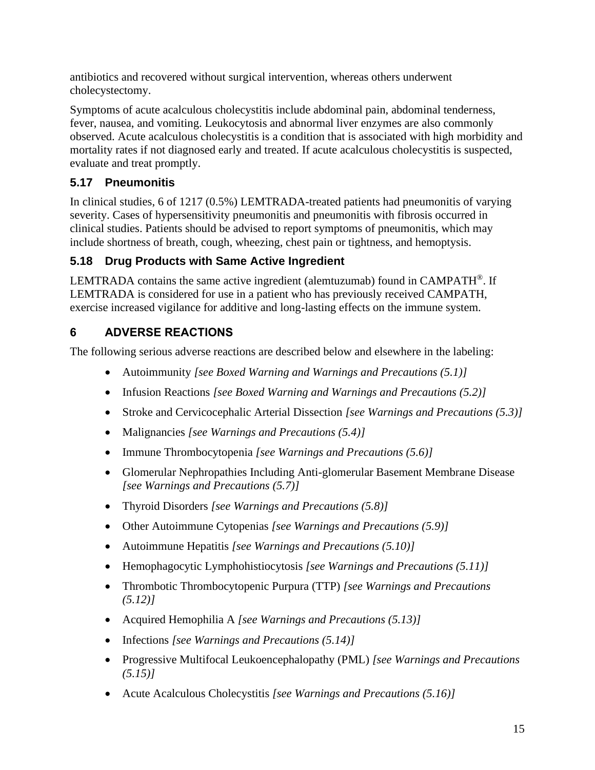antibiotics and recovered without surgical intervention, whereas others underwent cholecystectomy.

Symptoms of acute acalculous cholecystitis include abdominal pain, abdominal tenderness, fever, nausea, and vomiting. Leukocytosis and abnormal liver enzymes are also commonly observed. Acute acalculous cholecystitis is a condition that is associated with high morbidity and mortality rates if not diagnosed early and treated. If acute acalculous cholecystitis is suspected, evaluate and treat promptly.

# **5.17 Pneumonitis**

In clinical studies, 6 of 1217 (0.5%) LEMTRADA-treated patients had pneumonitis of varying severity. Cases of hypersensitivity pneumonitis and pneumonitis with fibrosis occurred in clinical studies. Patients should be advised to report symptoms of pneumonitis, which may include shortness of breath, cough, wheezing, chest pain or tightness, and hemoptysis.

# **5.18 Drug Products with Same Active Ingredient**

LEMTRADA contains the same active ingredient (alemtuzumab) found in  $CAMPATH^{\circ}$ . If LEMTRADA is considered for use in a patient who has previously received CAMPATH, exercise increased vigilance for additive and long-lasting effects on the immune system.

# **6 ADVERSE REACTIONS**

The following serious adverse reactions are described below and elsewhere in the labeling:

- Autoimmunity *[see Boxed Warning and Warnings and Precautions (5.1)]*
- Infusion Reactions *[see Boxed Warning and Warnings and Precautions (5.2)]*
- Stroke and Cervicocephalic Arterial Dissection *[see Warnings and Precautions (5.3)]*
- Malignancies *[see Warnings and Precautions (5.4)]*
- Immune Thrombocytopenia *[see Warnings and Precautions (5.6)]*
- Glomerular Nephropathies Including Anti-glomerular Basement Membrane Disease *[see Warnings and Precautions (5.7)]*
- Thyroid Disorders *[see Warnings and Precautions (5.8)]*
- Other Autoimmune Cytopenias *[see Warnings and Precautions (5.9)]*
- Autoimmune Hepatitis *[see Warnings and Precautions (5.10)]*
- Hemophagocytic Lymphohistiocytosis *[see Warnings and Precautions (5.11)]*
- Thrombotic Thrombocytopenic Purpura (TTP) *[see Warnings and Precautions (5.12)]*
- Acquired Hemophilia A *[see Warnings and Precautions (5.13)]*
- Infections *[see Warnings and Precautions (5.14)]*
- Progressive Multifocal Leukoencephalopathy (PML) *[see Warnings and Precautions (5.15)]*
- Acute Acalculous Cholecystitis *[see Warnings and Precautions (5.16)]*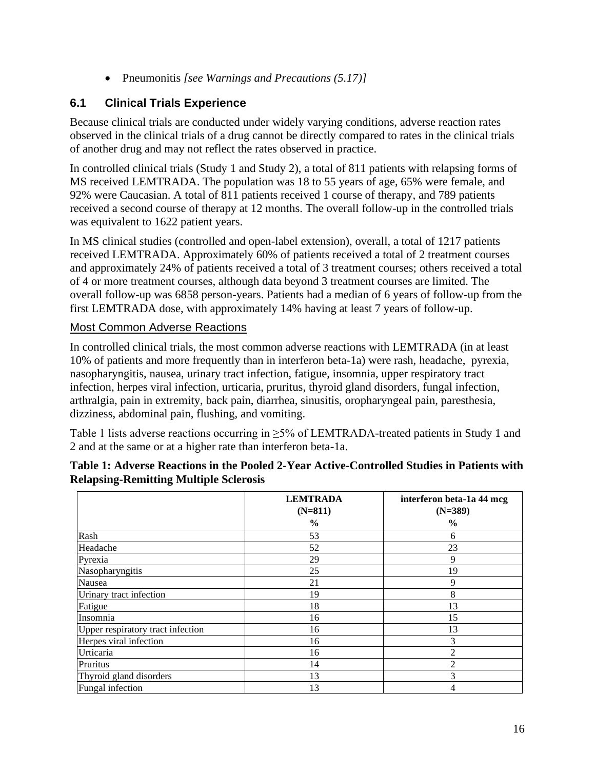• Pneumonitis *[see Warnings and Precautions (5.17)]*

## **6.1 Clinical Trials Experience**

Because clinical trials are conducted under widely varying conditions, adverse reaction rates observed in the clinical trials of a drug cannot be directly compared to rates in the clinical trials of another drug and may not reflect the rates observed in practice.

In controlled clinical trials (Study 1 and Study 2), a total of 811 patients with relapsing forms of MS received LEMTRADA. The population was 18 to 55 years of age, 65% were female, and 92% were Caucasian. A total of 811 patients received 1 course of therapy, and 789 patients received a second course of therapy at 12 months. The overall follow-up in the controlled trials was equivalent to 1622 patient years.

In MS clinical studies (controlled and open-label extension), overall, a total of 1217 patients received LEMTRADA. Approximately 60% of patients received a total of 2 treatment courses and approximately 24% of patients received a total of 3 treatment courses; others received a total of 4 or more treatment courses, although data beyond 3 treatment courses are limited. The overall follow-up was 6858 person-years. Patients had a median of 6 years of follow-up from the first LEMTRADA dose, with approximately 14% having at least 7 years of follow-up.

#### Most Common Adverse Reactions

In controlled clinical trials, the most common adverse reactions with LEMTRADA (in at least 10% of patients and more frequently than in interferon beta-1a) were rash, headache, pyrexia, nasopharyngitis, nausea, urinary tract infection, fatigue, insomnia, upper respiratory tract infection, herpes viral infection, urticaria, pruritus, thyroid gland disorders, fungal infection, arthralgia, pain in extremity, back pain, diarrhea, sinusitis, oropharyngeal pain, paresthesia, dizziness, abdominal pain, flushing, and vomiting.

Table 1 lists adverse reactions occurring in ≥5% of LEMTRADA-treated patients in Study 1 and 2 and at the same or at a higher rate than interferon beta-1a.

|                                   | <b>LEMTRADA</b><br>$(N=811)$<br>$\frac{6}{6}$ | interferon beta-1a 44 mcg<br>$(N=389)$<br>$\frac{6}{6}$ |
|-----------------------------------|-----------------------------------------------|---------------------------------------------------------|
| Rash                              | 53                                            | 6                                                       |
| Headache                          | 52                                            | 23                                                      |
| Pyrexia                           | 29                                            | 9                                                       |
| Nasopharyngitis                   | 25                                            | 19                                                      |
| Nausea                            | 21                                            | 9                                                       |
| Urinary tract infection           | 19                                            | 8                                                       |
| Fatigue                           | 18                                            | 13                                                      |
| Insomnia                          | 16                                            | 15                                                      |
| Upper respiratory tract infection | 16                                            | 13                                                      |
| Herpes viral infection            | 16                                            | 3                                                       |
| Urticaria                         | 16                                            | $\mathfrak{D}$                                          |
| Pruritus                          | 14                                            | 2                                                       |
| Thyroid gland disorders           | 13                                            | 3                                                       |
| Fungal infection                  | 13                                            | 4                                                       |

#### **Table 1: Adverse Reactions in the Pooled 2-Year Active-Controlled Studies in Patients with Relapsing-Remitting Multiple Sclerosis**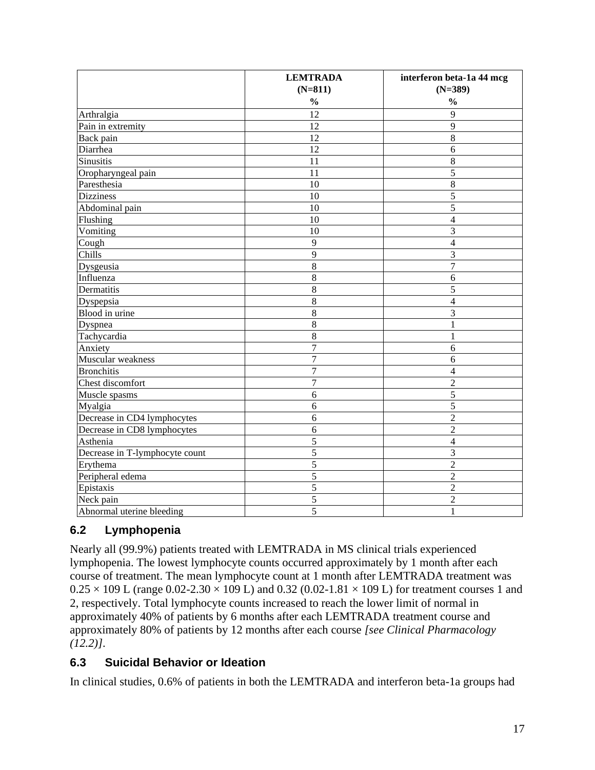|                                | <b>LEMTRADA</b> | interferon beta-1a 44 mcg |
|--------------------------------|-----------------|---------------------------|
|                                | $(N=811)$       | $(N=389)$                 |
|                                | $\frac{0}{0}$   | $\frac{0}{0}$             |
| Arthralgia                     | $\overline{12}$ | 9                         |
| Pain in extremity              | 12              | 9                         |
| Back pain                      | 12              | 8                         |
| Diarrhea                       | 12              | 6                         |
| <b>Sinusitis</b>               | 11              | $\,8\,$                   |
| Oropharyngeal pain             | 11              | 5                         |
| Paresthesia                    | 10              | $\overline{8}$            |
| <b>Dizziness</b>               | 10              | $\overline{5}$            |
| Abdominal pain                 | 10              | $\overline{5}$            |
| Flushing                       | 10              | $\overline{4}$            |
| Vomiting                       | 10              | 3                         |
| Cough                          | 9               | $\overline{4}$            |
| Chills                         | 9               | 3                         |
| Dysgeusia                      | $\overline{8}$  | $\overline{7}$            |
| Influenza                      | $\overline{8}$  | 6                         |
| Dermatitis                     | 8               | 5                         |
| Dyspepsia                      | 8               | $\overline{4}$            |
| Blood in urine                 | 8               | 3                         |
| Dyspnea                        | $\,8\,$         | 1                         |
| Tachycardia                    | $\,8\,$         | 1                         |
| Anxiety                        | 7               | 6                         |
| Muscular weakness              | 7               | 6                         |
| <b>Bronchitis</b>              | 7               | $\overline{4}$            |
| Chest discomfort               | $\overline{7}$  | $\overline{2}$            |
| Muscle spasms                  | 6               | $\overline{5}$            |
| Myalgia                        | 6               | 5                         |
| Decrease in CD4 lymphocytes    | 6               | $\overline{2}$            |
| Decrease in CD8 lymphocytes    | 6               | $\overline{2}$            |
| Asthenia                       | 5               | $\overline{4}$            |
| Decrease in T-lymphocyte count | 5               | $\overline{3}$            |
| Erythema                       | 5               | $\overline{2}$            |
| Peripheral edema               | $\overline{5}$  | $\overline{2}$            |
| Epistaxis                      | $\overline{5}$  | $\overline{2}$            |
| Neck pain                      | 5               | $\overline{2}$            |
| Abnormal uterine bleeding      | 5               | 1                         |

## **6.2 Lymphopenia**

Nearly all (99.9%) patients treated with LEMTRADA in MS clinical trials experienced lymphopenia. The lowest lymphocyte counts occurred approximately by 1 month after each course of treatment. The mean lymphocyte count at 1 month after LEMTRADA treatment was  $0.25 \times 109$  L (range  $0.02 - 2.30 \times 109$  L) and  $0.32$  (0.02-1.81  $\times$  109 L) for treatment courses 1 and 2, respectively. Total lymphocyte counts increased to reach the lower limit of normal in approximately 40% of patients by 6 months after each LEMTRADA treatment course and approximately 80% of patients by 12 months after each course *[see Clinical Pharmacology (12.2)]*.

## **6.3 Suicidal Behavior or Ideation**

In clinical studies, 0.6% of patients in both the LEMTRADA and interferon beta-1a groups had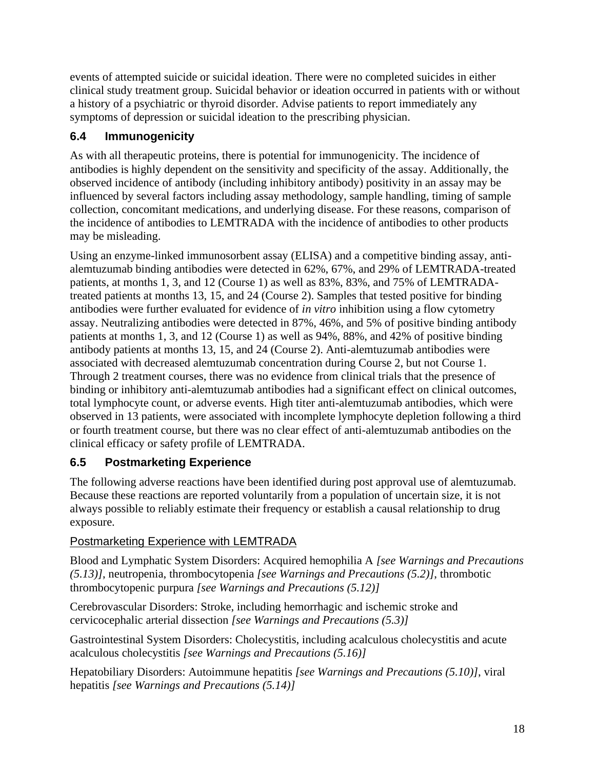events of attempted suicide or suicidal ideation. There were no completed suicides in either clinical study treatment group. Suicidal behavior or ideation occurred in patients with or without a history of a psychiatric or thyroid disorder. Advise patients to report immediately any symptoms of depression or suicidal ideation to the prescribing physician.

## **6.4 Immunogenicity**

As with all therapeutic proteins, there is potential for immunogenicity. The incidence of antibodies is highly dependent on the sensitivity and specificity of the assay. Additionally, the observed incidence of antibody (including inhibitory antibody) positivity in an assay may be influenced by several factors including assay methodology, sample handling, timing of sample collection, concomitant medications, and underlying disease. For these reasons, comparison of the incidence of antibodies to LEMTRADA with the incidence of antibodies to other products may be misleading.

Using an enzyme-linked immunosorbent assay (ELISA) and a competitive binding assay, antialemtuzumab binding antibodies were detected in 62%, 67%, and 29% of LEMTRADA-treated patients, at months 1, 3, and 12 (Course 1) as well as 83%, 83%, and 75% of LEMTRADAtreated patients at months 13, 15, and 24 (Course 2). Samples that tested positive for binding antibodies were further evaluated for evidence of *in vitro* inhibition using a flow cytometry assay. Neutralizing antibodies were detected in 87%, 46%, and 5% of positive binding antibody patients at months 1, 3, and 12 (Course 1) as well as 94%, 88%, and 42% of positive binding antibody patients at months 13, 15, and 24 (Course 2). Anti-alemtuzumab antibodies were associated with decreased alemtuzumab concentration during Course 2, but not Course 1. Through 2 treatment courses, there was no evidence from clinical trials that the presence of binding or inhibitory anti-alemtuzumab antibodies had a significant effect on clinical outcomes, total lymphocyte count, or adverse events. High titer anti-alemtuzumab antibodies, which were observed in 13 patients, were associated with incomplete lymphocyte depletion following a third or fourth treatment course, but there was no clear effect of anti-alemtuzumab antibodies on the clinical efficacy or safety profile of LEMTRADA.

# **6.5 Postmarketing Experience**

The following adverse reactions have been identified during post approval use of alemtuzumab. Because these reactions are reported voluntarily from a population of uncertain size, it is not always possible to reliably estimate their frequency or establish a causal relationship to drug exposure.

## Postmarketing Experience with LEMTRADA

Blood and Lymphatic System Disorders: Acquired hemophilia A *[see Warnings and Precautions (5.13)]*, neutropenia, thrombocytopenia *[see Warnings and Precautions (5.2)]*, thrombotic thrombocytopenic purpura *[see Warnings and Precautions (5.12)]*

Cerebrovascular Disorders: Stroke, including hemorrhagic and ischemic stroke and cervicocephalic arterial dissection *[see Warnings and Precautions (5.3)]*

Gastrointestinal System Disorders: Cholecystitis, including acalculous cholecystitis and acute acalculous cholecystitis *[see Warnings and Precautions (5.16)]*

Hepatobiliary Disorders: Autoimmune hepatitis *[see Warnings and Precautions (5.10)]*, viral hepatitis *[see Warnings and Precautions (5.14)]*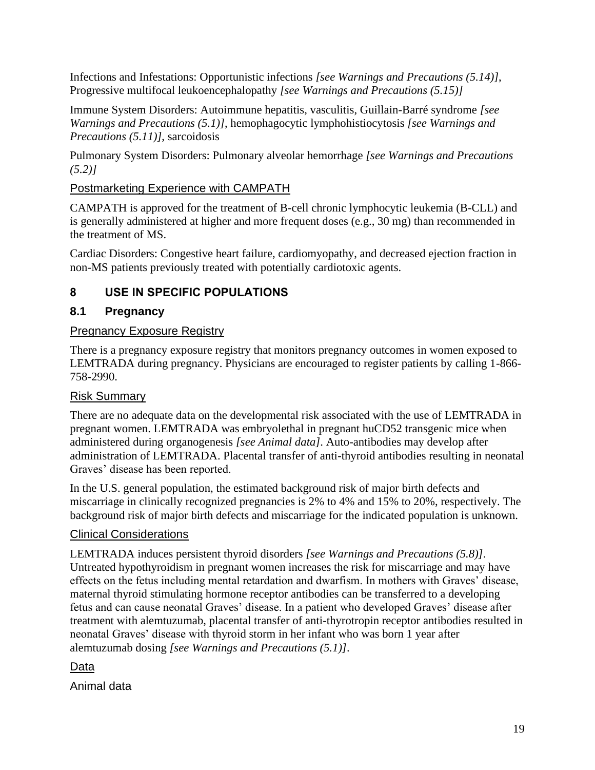Infections and Infestations: Opportunistic infections *[see Warnings and Precautions (5.14)]*, Progressive multifocal leukoencephalopathy *[see Warnings and Precautions (5.15)]*

Immune System Disorders: Autoimmune hepatitis, vasculitis, Guillain-Barré syndrome *[see Warnings and Precautions (5.1)]*, hemophagocytic lymphohistiocytosis *[see Warnings and Precautions (5.11)]*, sarcoidosis

Pulmonary System Disorders: Pulmonary alveolar hemorrhage *[see Warnings and Precautions (5.2)]*

#### Postmarketing Experience with CAMPATH

CAMPATH is approved for the treatment of B-cell chronic lymphocytic leukemia (B-CLL) and is generally administered at higher and more frequent doses (e.g., 30 mg) than recommended in the treatment of MS.

Cardiac Disorders: Congestive heart failure, cardiomyopathy, and decreased ejection fraction in non-MS patients previously treated with potentially cardiotoxic agents.

## **8 USE IN SPECIFIC POPULATIONS**

#### **8.1 Pregnancy**

#### Pregnancy Exposure Registry

There is a pregnancy exposure registry that monitors pregnancy outcomes in women exposed to LEMTRADA during pregnancy. Physicians are encouraged to register patients by calling 1-866- 758-2990.

## Risk Summary

There are no adequate data on the developmental risk associated with the use of LEMTRADA in pregnant women. LEMTRADA was embryolethal in pregnant huCD52 transgenic mice when administered during organogenesis *[see Animal data]*. Auto-antibodies may develop after administration of LEMTRADA. Placental transfer of anti-thyroid antibodies resulting in neonatal Graves' disease has been reported.

In the U.S. general population, the estimated background risk of major birth defects and miscarriage in clinically recognized pregnancies is 2% to 4% and 15% to 20%, respectively. The background risk of major birth defects and miscarriage for the indicated population is unknown.

#### Clinical Considerations

LEMTRADA induces persistent thyroid disorders *[see Warnings and Precautions (5.8)]*. Untreated hypothyroidism in pregnant women increases the risk for miscarriage and may have effects on the fetus including mental retardation and dwarfism. In mothers with Graves' disease, maternal thyroid stimulating hormone receptor antibodies can be transferred to a developing fetus and can cause neonatal Graves' disease. In a patient who developed Graves' disease after treatment with alemtuzumab, placental transfer of anti-thyrotropin receptor antibodies resulted in neonatal Graves' disease with thyroid storm in her infant who was born 1 year after alemtuzumab dosing *[see Warnings and Precautions (5.1)]*.

Data

Animal data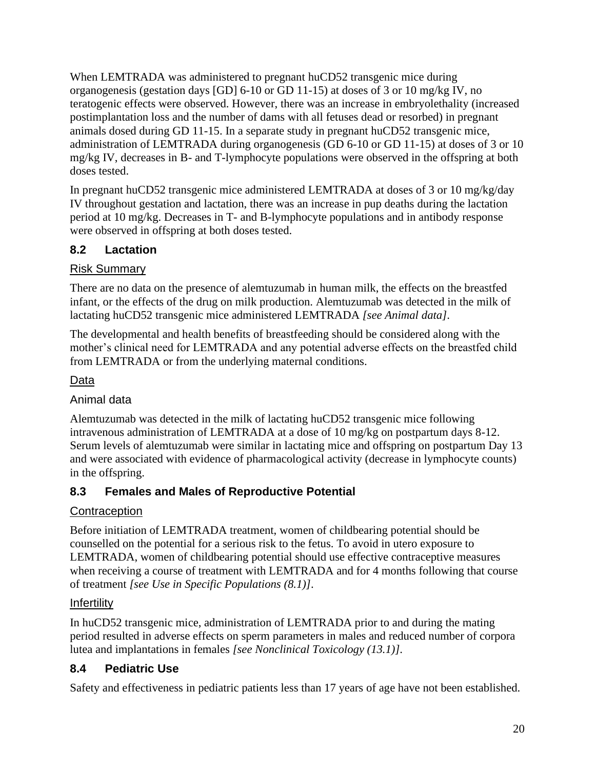When LEMTRADA was administered to pregnant huCD52 transgenic mice during organogenesis (gestation days [GD] 6-10 or GD 11-15) at doses of 3 or 10 mg/kg IV, no teratogenic effects were observed. However, there was an increase in embryolethality (increased postimplantation loss and the number of dams with all fetuses dead or resorbed) in pregnant animals dosed during GD 11-15. In a separate study in pregnant huCD52 transgenic mice, administration of LEMTRADA during organogenesis (GD 6-10 or GD 11-15) at doses of 3 or 10 mg/kg IV, decreases in B- and T-lymphocyte populations were observed in the offspring at both doses tested.

In pregnant huCD52 transgenic mice administered LEMTRADA at doses of 3 or 10 mg/kg/day IV throughout gestation and lactation, there was an increase in pup deaths during the lactation period at 10 mg/kg. Decreases in T- and B-lymphocyte populations and in antibody response were observed in offspring at both doses tested.

## **8.2 Lactation**

#### Risk Summary

There are no data on the presence of alemtuzumab in human milk, the effects on the breastfed infant, or the effects of the drug on milk production. Alemtuzumab was detected in the milk of lactating huCD52 transgenic mice administered LEMTRADA *[see Animal data]*.

The developmental and health benefits of breastfeeding should be considered along with the mother's clinical need for LEMTRADA and any potential adverse effects on the breastfed child from LEMTRADA or from the underlying maternal conditions.

#### Data

#### Animal data

Alemtuzumab was detected in the milk of lactating huCD52 transgenic mice following intravenous administration of LEMTRADA at a dose of 10 mg/kg on postpartum days 8-12. Serum levels of alemtuzumab were similar in lactating mice and offspring on postpartum Day 13 and were associated with evidence of pharmacological activity (decrease in lymphocyte counts) in the offspring.

## **8.3 Females and Males of Reproductive Potential**

#### **Contraception**

Before initiation of LEMTRADA treatment, women of childbearing potential should be counselled on the potential for a serious risk to the fetus. To avoid in utero exposure to LEMTRADA, women of childbearing potential should use effective contraceptive measures when receiving a course of treatment with LEMTRADA and for 4 months following that course of treatment *[see Use in Specific Populations (8.1)]*.

## **Infertility**

In huCD52 transgenic mice, administration of LEMTRADA prior to and during the mating period resulted in adverse effects on sperm parameters in males and reduced number of corpora lutea and implantations in females *[see Nonclinical Toxicology (13.1)]*.

# **8.4 Pediatric Use**

Safety and effectiveness in pediatric patients less than 17 years of age have not been established.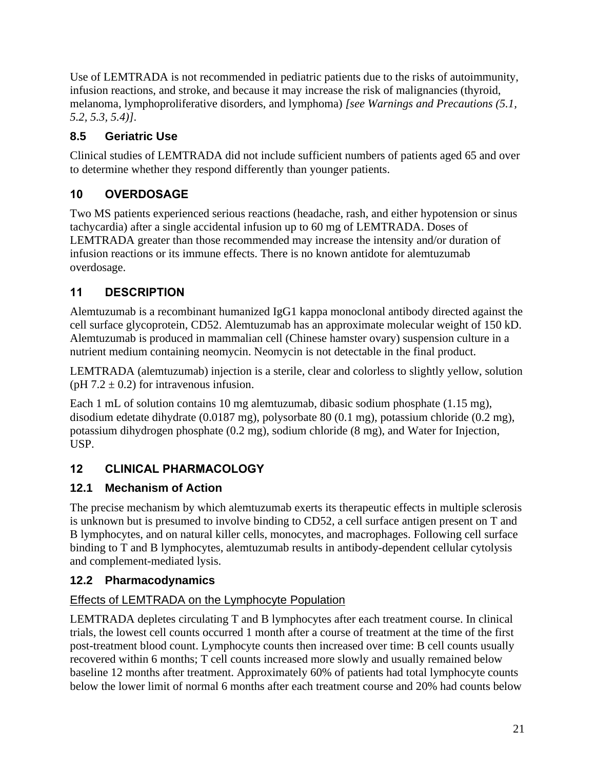Use of LEMTRADA is not recommended in pediatric patients due to the risks of autoimmunity, infusion reactions, and stroke, and because it may increase the risk of malignancies (thyroid, melanoma, lymphoproliferative disorders, and lymphoma) *[see Warnings and Precautions (5.1, 5.2, 5.3, 5.4)]*.

# **8.5 Geriatric Use**

Clinical studies of LEMTRADA did not include sufficient numbers of patients aged 65 and over to determine whether they respond differently than younger patients.

# **10 OVERDOSAGE**

Two MS patients experienced serious reactions (headache, rash, and either hypotension or sinus tachycardia) after a single accidental infusion up to 60 mg of LEMTRADA. Doses of LEMTRADA greater than those recommended may increase the intensity and/or duration of infusion reactions or its immune effects. There is no known antidote for alemtuzumab overdosage.

# **11 DESCRIPTION**

Alemtuzumab is a recombinant humanized IgG1 kappa monoclonal antibody directed against the cell surface glycoprotein, CD52. Alemtuzumab has an approximate molecular weight of 150 kD. Alemtuzumab is produced in mammalian cell (Chinese hamster ovary) suspension culture in a nutrient medium containing neomycin. Neomycin is not detectable in the final product.

LEMTRADA (alemtuzumab) injection is a sterile, clear and colorless to slightly yellow, solution (pH  $7.2 \pm 0.2$ ) for intravenous infusion.

Each 1 mL of solution contains 10 mg alemtuzumab, dibasic sodium phosphate (1.15 mg), disodium edetate dihydrate (0.0187 mg), polysorbate 80 (0.1 mg), potassium chloride (0.2 mg), potassium dihydrogen phosphate (0.2 mg), sodium chloride (8 mg), and Water for Injection, USP.

# **12 CLINICAL PHARMACOLOGY**

# **12.1 Mechanism of Action**

The precise mechanism by which alemtuzumab exerts its therapeutic effects in multiple sclerosis is unknown but is presumed to involve binding to CD52, a cell surface antigen present on T and B lymphocytes, and on natural killer cells, monocytes, and macrophages. Following cell surface binding to T and B lymphocytes, alemtuzumab results in antibody-dependent cellular cytolysis and complement-mediated lysis.

# **12.2 Pharmacodynamics**

# Effects of LEMTRADA on the Lymphocyte Population

LEMTRADA depletes circulating T and B lymphocytes after each treatment course. In clinical trials, the lowest cell counts occurred 1 month after a course of treatment at the time of the first post-treatment blood count. Lymphocyte counts then increased over time: B cell counts usually recovered within 6 months; T cell counts increased more slowly and usually remained below baseline 12 months after treatment. Approximately 60% of patients had total lymphocyte counts below the lower limit of normal 6 months after each treatment course and 20% had counts below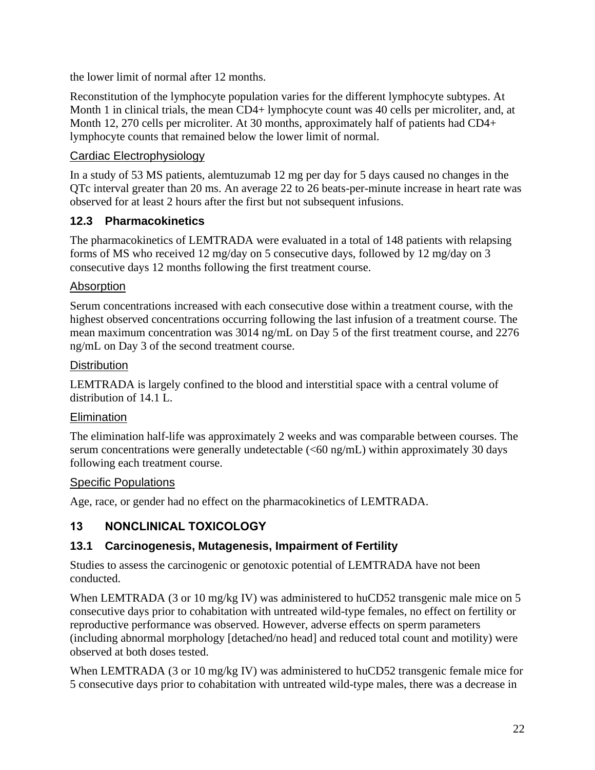the lower limit of normal after 12 months.

Reconstitution of the lymphocyte population varies for the different lymphocyte subtypes. At Month 1 in clinical trials, the mean CD4+ lymphocyte count was 40 cells per microliter, and, at Month 12, 270 cells per microliter. At 30 months, approximately half of patients had CD4+ lymphocyte counts that remained below the lower limit of normal.

## Cardiac Electrophysiology

In a study of 53 MS patients, alemtuzumab 12 mg per day for 5 days caused no changes in the QTc interval greater than 20 ms. An average 22 to 26 beats-per-minute increase in heart rate was observed for at least 2 hours after the first but not subsequent infusions.

## **12.3 Pharmacokinetics**

The pharmacokinetics of LEMTRADA were evaluated in a total of 148 patients with relapsing forms of MS who received 12 mg/day on 5 consecutive days, followed by 12 mg/day on 3 consecutive days 12 months following the first treatment course.

#### Absorption

Serum concentrations increased with each consecutive dose within a treatment course, with the highest observed concentrations occurring following the last infusion of a treatment course. The mean maximum concentration was 3014 ng/mL on Day 5 of the first treatment course, and 2276 ng/mL on Day 3 of the second treatment course.

#### **Distribution**

LEMTRADA is largely confined to the blood and interstitial space with a central volume of distribution of 14.1 L.

#### Elimination

The elimination half-life was approximately 2 weeks and was comparable between courses. The serum concentrations were generally undetectable (<60 ng/mL) within approximately 30 days following each treatment course.

#### Specific Populations

Age, race, or gender had no effect on the pharmacokinetics of LEMTRADA.

# **13 NONCLINICAL TOXICOLOGY**

## **13.1 Carcinogenesis, Mutagenesis, Impairment of Fertility**

Studies to assess the carcinogenic or genotoxic potential of LEMTRADA have not been conducted.

When LEMTRADA (3 or 10 mg/kg IV) was administered to huCD52 transgenic male mice on 5 consecutive days prior to cohabitation with untreated wild-type females, no effect on fertility or reproductive performance was observed. However, adverse effects on sperm parameters (including abnormal morphology [detached/no head] and reduced total count and motility) were observed at both doses tested.

When LEMTRADA (3 or 10 mg/kg IV) was administered to huCD52 transgenic female mice for 5 consecutive days prior to cohabitation with untreated wild-type males, there was a decrease in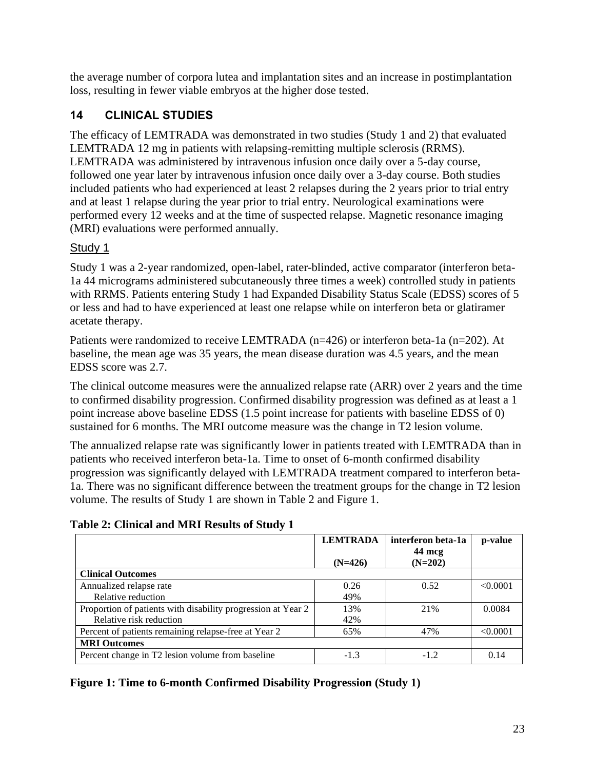the average number of corpora lutea and implantation sites and an increase in postimplantation loss, resulting in fewer viable embryos at the higher dose tested.

## **14 CLINICAL STUDIES**

The efficacy of LEMTRADA was demonstrated in two studies (Study 1 and 2) that evaluated LEMTRADA 12 mg in patients with relapsing-remitting multiple sclerosis (RRMS). LEMTRADA was administered by intravenous infusion once daily over a 5-day course, followed one year later by intravenous infusion once daily over a 3-day course. Both studies included patients who had experienced at least 2 relapses during the 2 years prior to trial entry and at least 1 relapse during the year prior to trial entry. Neurological examinations were performed every 12 weeks and at the time of suspected relapse. Magnetic resonance imaging (MRI) evaluations were performed annually.

#### Study 1

Study 1 was a 2-year randomized, open-label, rater-blinded, active comparator (interferon beta-1a 44 micrograms administered subcutaneously three times a week) controlled study in patients with RRMS. Patients entering Study 1 had Expanded Disability Status Scale (EDSS) scores of 5 or less and had to have experienced at least one relapse while on interferon beta or glatiramer acetate therapy.

Patients were randomized to receive LEMTRADA (n=426) or interferon beta-1a (n=202). At baseline, the mean age was 35 years, the mean disease duration was 4.5 years, and the mean EDSS score was 2.7.

The clinical outcome measures were the annualized relapse rate (ARR) over 2 years and the time to confirmed disability progression. Confirmed disability progression was defined as at least a 1 point increase above baseline EDSS (1.5 point increase for patients with baseline EDSS of 0) sustained for 6 months. The MRI outcome measure was the change in T2 lesion volume.

The annualized relapse rate was significantly lower in patients treated with LEMTRADA than in patients who received interferon beta-1a. Time to onset of 6-month confirmed disability progression was significantly delayed with LEMTRADA treatment compared to interferon beta-1a. There was no significant difference between the treatment groups for the change in T2 lesion volume. The results of Study 1 are shown in Table 2 and Figure 1.

#### **Table 2: Clinical and MRI Results of Study 1**

|                                                              | <b>LEMTRADA</b> | interferon beta-1a | p-value  |
|--------------------------------------------------------------|-----------------|--------------------|----------|
|                                                              |                 | 44 mcg             |          |
|                                                              | $(N=426)$       | $(N=202)$          |          |
| <b>Clinical Outcomes</b>                                     |                 |                    |          |
| Annualized relapse rate                                      | 0.26            | 0.52               | < 0.0001 |
| Relative reduction                                           | 49%             |                    |          |
| Proportion of patients with disability progression at Year 2 | 13%             | 21%                | 0.0084   |
| Relative risk reduction                                      | 42%             |                    |          |
| Percent of patients remaining relapse-free at Year 2         | 65%             | 47%                | < 0.0001 |
| <b>MRI Outcomes</b>                                          |                 |                    |          |
| Percent change in T2 lesion volume from baseline             | $-1.3$          | $-1.2$             | 0.14     |

#### **Figure 1: Time to 6-month Confirmed Disability Progression (Study 1)**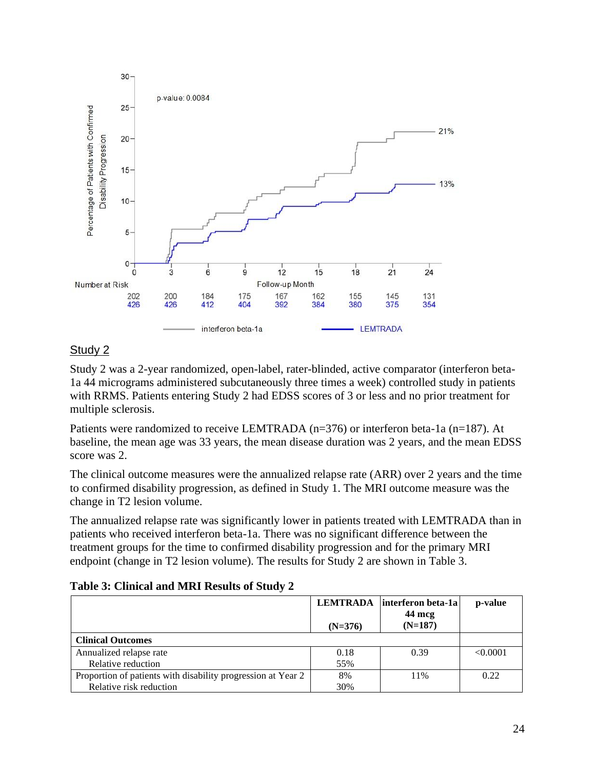

#### Study 2

Study 2 was a 2-year randomized, open-label, rater-blinded, active comparator (interferon beta-1a 44 micrograms administered subcutaneously three times a week) controlled study in patients with RRMS. Patients entering Study 2 had EDSS scores of 3 or less and no prior treatment for multiple sclerosis.

Patients were randomized to receive LEMTRADA (n=376) or interferon beta-1a (n=187). At baseline, the mean age was 33 years, the mean disease duration was 2 years, and the mean EDSS score was 2.

The clinical outcome measures were the annualized relapse rate (ARR) over 2 years and the time to confirmed disability progression, as defined in Study 1. The MRI outcome measure was the change in T2 lesion volume.

The annualized relapse rate was significantly lower in patients treated with LEMTRADA than in patients who received interferon beta-1a. There was no significant difference between the treatment groups for the time to confirmed disability progression and for the primary MRI endpoint (change in T2 lesion volume). The results for Study 2 are shown in Table 3.

| Table 3: Clinical and MRI Results of Study 2 |
|----------------------------------------------|
|----------------------------------------------|

|                                                              | $(N=376)$ | LEMTRADA   interferon beta-1a<br>$44 \text{ mcg}$<br>$(N=187)$ | p-value  |
|--------------------------------------------------------------|-----------|----------------------------------------------------------------|----------|
| <b>Clinical Outcomes</b>                                     |           |                                                                |          |
| Annualized relapse rate                                      | 0.18      | 0.39                                                           | < 0.0001 |
| Relative reduction                                           | 55%       |                                                                |          |
| Proportion of patients with disability progression at Year 2 | 8%        | 11%                                                            | 0.22     |
| Relative risk reduction                                      | 30%       |                                                                |          |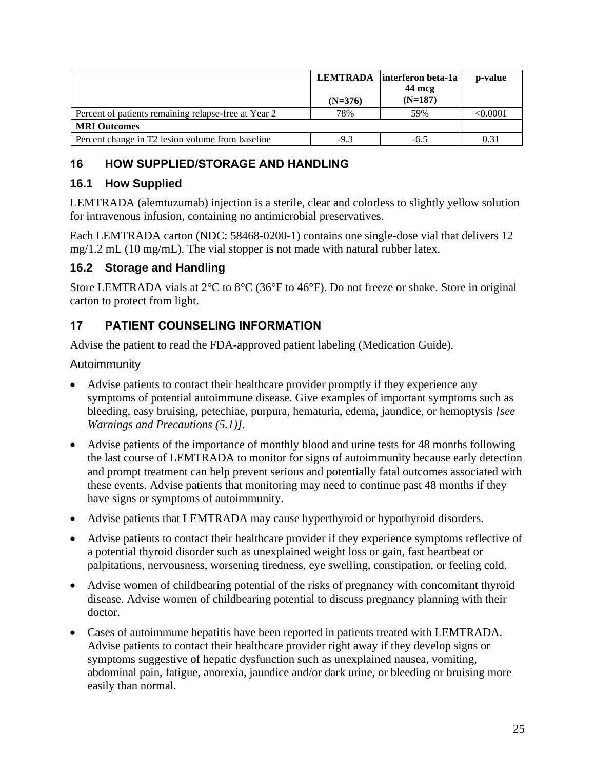|                                                      | $(N=376)$ | LEMTRADA   interferon beta-1a  <br>44 mcg<br>$(N=187)$ | p-value  |
|------------------------------------------------------|-----------|--------------------------------------------------------|----------|
| Percent of patients remaining relapse-free at Year 2 | 78%       | 59%                                                    | < 0.0001 |
| <b>MRI Outcomes</b>                                  |           |                                                        |          |
| Percent change in T2 lesion volume from baseline     | $-9.3$    | $-6.5$                                                 | 0.31     |

## **16 HOW SUPPLIED/STORAGE AND HANDLING**

## **16.1 How Supplied**

LEMTRADA (alemtuzumab) injection is a sterile, clear and colorless to slightly yellow solution for intravenous infusion, containing no antimicrobial preservatives.

Each LEMTRADA carton (NDC: 58468-0200-1) contains one single-dose vial that delivers 12 mg/1.2 mL (10 mg/mL). The vial stopper is not made with natural rubber latex.

## **16.2 Storage and Handling**

Store LEMTRADA vials at 2°C to 8°C (36°F to 46°F). Do not freeze or shake. Store in original carton to protect from light.

## **17 PATIENT COUNSELING INFORMATION**

Advise the patient to read the FDA-approved patient labeling (Medication Guide).

#### Autoimmunity

- Advise patients to contact their healthcare provider promptly if they experience any symptoms of potential autoimmune disease. Give examples of important symptoms such as bleeding, easy bruising, petechiae, purpura, hematuria, edema, jaundice, or hemoptysis *[see Warnings and Precautions (5.1)]*.
- Advise patients of the importance of monthly blood and urine tests for 48 months following the last course of LEMTRADA to monitor for signs of autoimmunity because early detection and prompt treatment can help prevent serious and potentially fatal outcomes associated with these events. Advise patients that monitoring may need to continue past 48 months if they have signs or symptoms of autoimmunity.
- Advise patients that LEMTRADA may cause hyperthyroid or hypothyroid disorders.
- Advise patients to contact their healthcare provider if they experience symptoms reflective of a potential thyroid disorder such as unexplained weight loss or gain, fast heartbeat or palpitations, nervousness, worsening tiredness, eye swelling, constipation, or feeling cold.
- Advise women of childbearing potential of the risks of pregnancy with concomitant thyroid disease. Advise women of childbearing potential to discuss pregnancy planning with their doctor.
- Cases of autoimmune hepatitis have been reported in patients treated with LEMTRADA. Advise patients to contact their healthcare provider right away if they develop signs or symptoms suggestive of hepatic dysfunction such as unexplained nausea, vomiting, abdominal pain, fatigue, anorexia, jaundice and/or dark urine, or bleeding or bruising more easily than normal.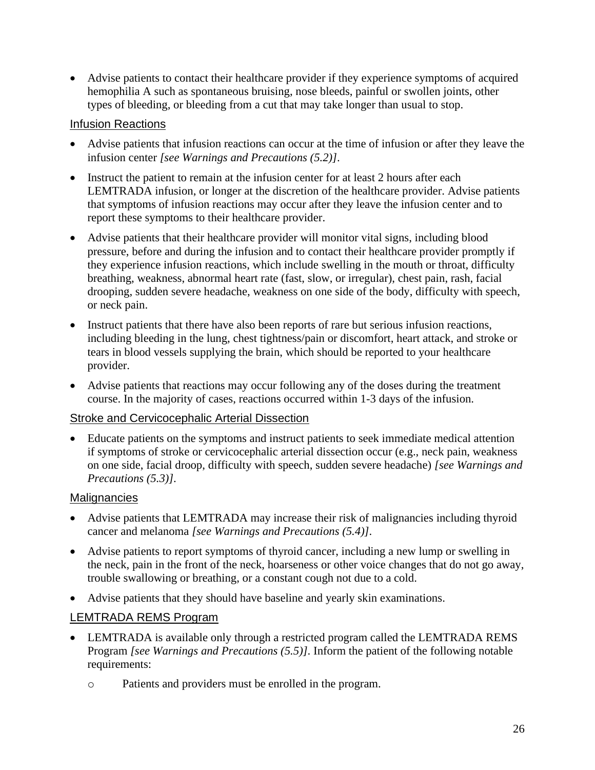• Advise patients to contact their healthcare provider if they experience symptoms of acquired hemophilia A such as spontaneous bruising, nose bleeds, painful or swollen joints, other types of bleeding, or bleeding from a cut that may take longer than usual to stop.

#### Infusion Reactions

- Advise patients that infusion reactions can occur at the time of infusion or after they leave the infusion center *[see Warnings and Precautions (5.2)]*.
- Instruct the patient to remain at the infusion center for at least 2 hours after each LEMTRADA infusion, or longer at the discretion of the healthcare provider. Advise patients that symptoms of infusion reactions may occur after they leave the infusion center and to report these symptoms to their healthcare provider.
- Advise patients that their healthcare provider will monitor vital signs, including blood pressure, before and during the infusion and to contact their healthcare provider promptly if they experience infusion reactions, which include swelling in the mouth or throat, difficulty breathing, weakness, abnormal heart rate (fast, slow, or irregular), chest pain, rash, facial drooping, sudden severe headache, weakness on one side of the body, difficulty with speech, or neck pain.
- Instruct patients that there have also been reports of rare but serious infusion reactions, including bleeding in the lung, chest tightness/pain or discomfort, heart attack, and stroke or tears in blood vessels supplying the brain, which should be reported to your healthcare provider.
- Advise patients that reactions may occur following any of the doses during the treatment course. In the majority of cases, reactions occurred within 1-3 days of the infusion.

#### Stroke and Cervicocephalic Arterial Dissection

• Educate patients on the symptoms and instruct patients to seek immediate medical attention if symptoms of stroke or cervicocephalic arterial dissection occur (e.g., neck pain, weakness on one side, facial droop, difficulty with speech, sudden severe headache) *[see Warnings and Precautions (5.3)]*.

#### **Malignancies**

- Advise patients that LEMTRADA may increase their risk of malignancies including thyroid cancer and melanoma *[see Warnings and Precautions (5.4)]*.
- Advise patients to report symptoms of thyroid cancer, including a new lump or swelling in the neck, pain in the front of the neck, hoarseness or other voice changes that do not go away, trouble swallowing or breathing, or a constant cough not due to a cold.
- Advise patients that they should have baseline and yearly skin examinations.

#### LEMTRADA REMS Program

- LEMTRADA is available only through a restricted program called the LEMTRADA REMS Program *[see Warnings and Precautions (5.5)]*. Inform the patient of the following notable requirements:
	- o Patients and providers must be enrolled in the program.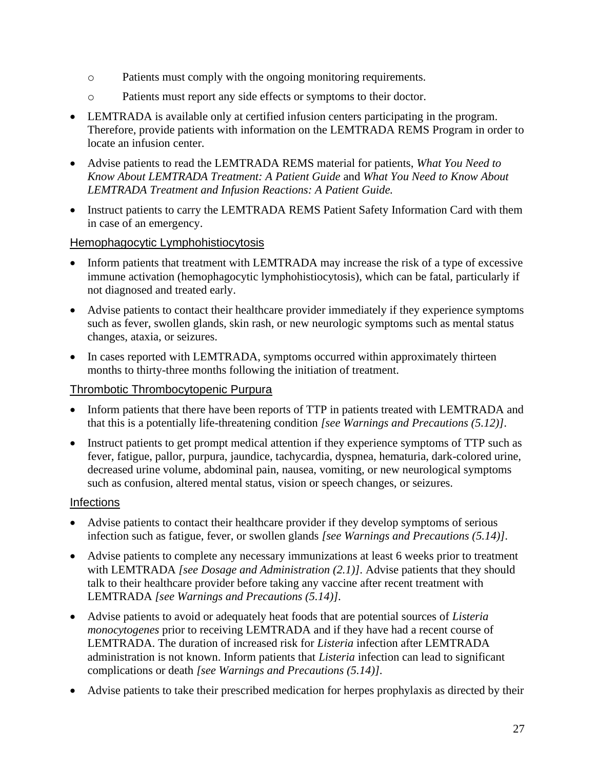- o Patients must comply with the ongoing monitoring requirements.
- o Patients must report any side effects or symptoms to their doctor.
- LEMTRADA is available only at certified infusion centers participating in the program. Therefore, provide patients with information on the LEMTRADA REMS Program in order to locate an infusion center.
- Advise patients to read the LEMTRADA REMS material for patients, *What You Need to Know About LEMTRADA Treatment: A Patient Guide* and *What You Need to Know About LEMTRADA Treatment and Infusion Reactions: A Patient Guide.*
- Instruct patients to carry the LEMTRADA REMS Patient Safety Information Card with them in case of an emergency.

#### Hemophagocytic Lymphohistiocytosis

- Inform patients that treatment with LEMTRADA may increase the risk of a type of excessive immune activation (hemophagocytic lymphohistiocytosis), which can be fatal, particularly if not diagnosed and treated early.
- Advise patients to contact their healthcare provider immediately if they experience symptoms such as fever, swollen glands, skin rash, or new neurologic symptoms such as mental status changes, ataxia, or seizures.
- In cases reported with LEMTRADA, symptoms occurred within approximately thirteen months to thirty-three months following the initiation of treatment.

#### Thrombotic Thrombocytopenic Purpura

- Inform patients that there have been reports of TTP in patients treated with LEMTRADA and that this is a potentially life-threatening condition *[see Warnings and Precautions (5.12)]*.
- Instruct patients to get prompt medical attention if they experience symptoms of TTP such as fever, fatigue, pallor, purpura, jaundice, tachycardia, dyspnea, hematuria, dark-colored urine, decreased urine volume, abdominal pain, nausea, vomiting, or new neurological symptoms such as confusion, altered mental status, vision or speech changes, or seizures.

#### Infections

- Advise patients to contact their healthcare provider if they develop symptoms of serious infection such as fatigue, fever, or swollen glands *[see Warnings and Precautions (5.14)]*.
- Advise patients to complete any necessary immunizations at least 6 weeks prior to treatment with LEMTRADA *[see Dosage and Administration (2.1)]*. Advise patients that they should talk to their healthcare provider before taking any vaccine after recent treatment with LEMTRADA *[see Warnings and Precautions (5.14)]*.
- Advise patients to avoid or adequately heat foods that are potential sources of *Listeria monocytogenes* prior to receiving LEMTRADA and if they have had a recent course of LEMTRADA. The duration of increased risk for *Listeria* infection after LEMTRADA administration is not known. Inform patients that *Listeria* infection can lead to significant complications or death *[see Warnings and Precautions (5.14)]*.
- Advise patients to take their prescribed medication for herpes prophylaxis as directed by their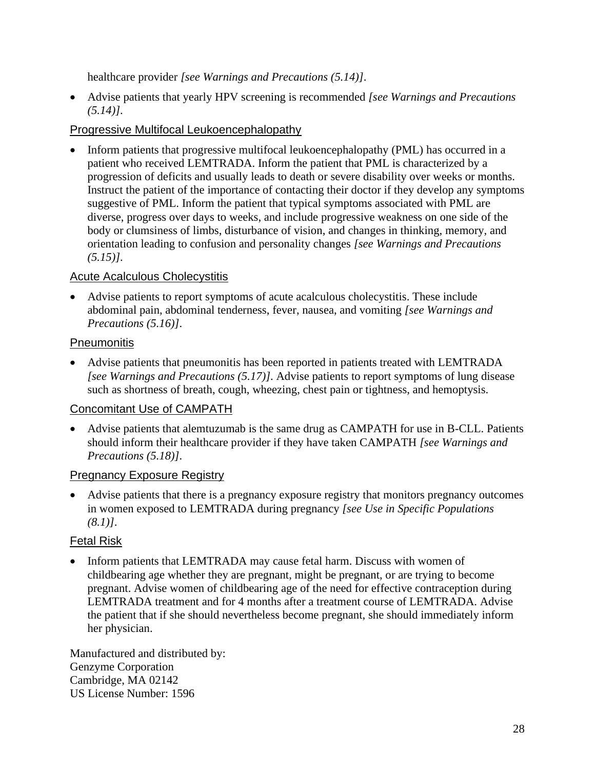healthcare provider *[see Warnings and Precautions (5.14)]*.

• Advise patients that yearly HPV screening is recommended *[see Warnings and Precautions (5.14)]*.

#### Progressive Multifocal Leukoencephalopathy

• Inform patients that progressive multifocal leukoencephalopathy (PML) has occurred in a patient who received LEMTRADA. Inform the patient that PML is characterized by a progression of deficits and usually leads to death or severe disability over weeks or months. Instruct the patient of the importance of contacting their doctor if they develop any symptoms suggestive of PML. Inform the patient that typical symptoms associated with PML are diverse, progress over days to weeks, and include progressive weakness on one side of the body or clumsiness of limbs, disturbance of vision, and changes in thinking, memory, and orientation leading to confusion and personality changes *[see Warnings and Precautions (5.15)]*.

#### Acute Acalculous Cholecystitis

• Advise patients to report symptoms of acute acalculous cholecystitis. These include abdominal pain, abdominal tenderness, fever, nausea, and vomiting *[see Warnings and Precautions (5.16)]*.

#### **Pneumonitis**

• Advise patients that pneumonitis has been reported in patients treated with LEMTRADA *[see Warnings and Precautions (5.17)]*. Advise patients to report symptoms of lung disease such as shortness of breath, cough, wheezing, chest pain or tightness, and hemoptysis.

## Concomitant Use of CAMPATH

• Advise patients that alemtuzumab is the same drug as CAMPATH for use in B-CLL. Patients should inform their healthcare provider if they have taken CAMPATH *[see Warnings and Precautions (5.18)]*.

## Pregnancy Exposure Registry

• Advise patients that there is a pregnancy exposure registry that monitors pregnancy outcomes in women exposed to LEMTRADA during pregnancy *[see Use in Specific Populations (8.1)]*.

## Fetal Risk

• Inform patients that LEMTRADA may cause fetal harm. Discuss with women of childbearing age whether they are pregnant, might be pregnant, or are trying to become pregnant. Advise women of childbearing age of the need for effective contraception during LEMTRADA treatment and for 4 months after a treatment course of LEMTRADA. Advise the patient that if she should nevertheless become pregnant, she should immediately inform her physician.

Manufactured and distributed by: Genzyme Corporation Cambridge, MA 02142 US License Number: 1596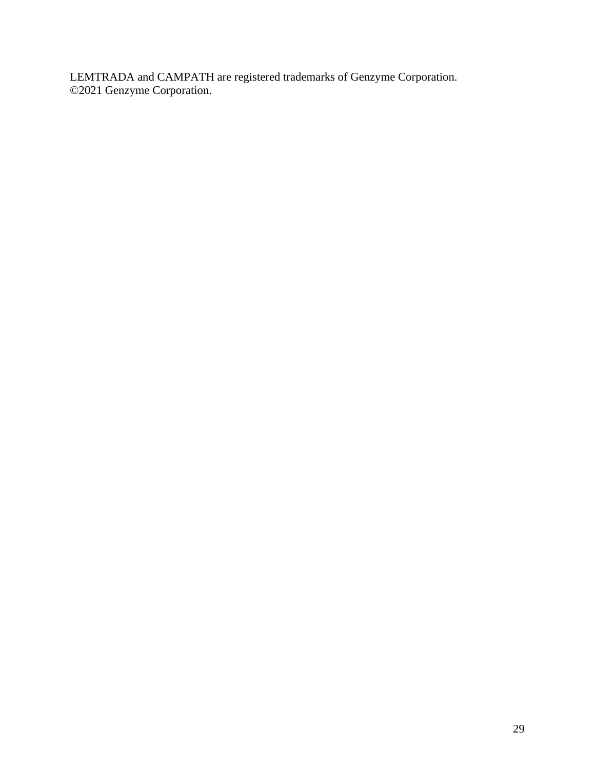LEMTRADA and CAMPATH are registered trademarks of Genzyme Corporation. ©2021 Genzyme Corporation.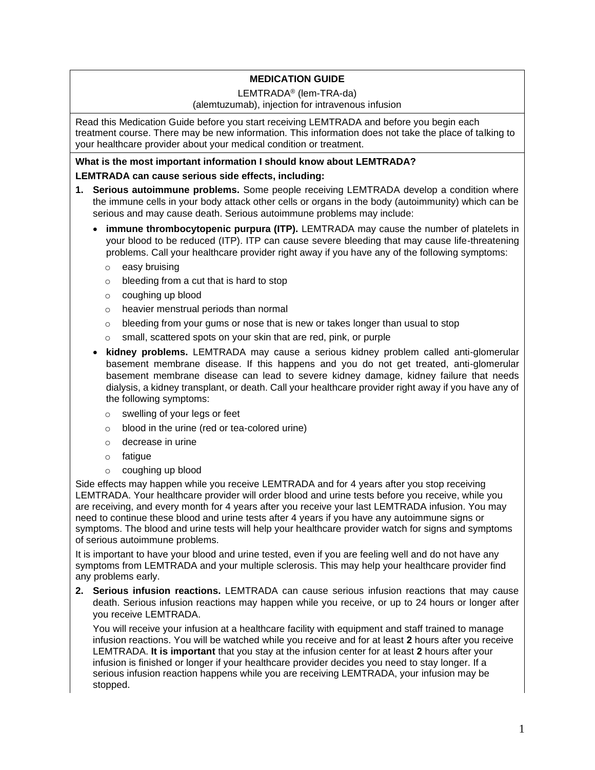#### **MEDICATION GUIDE**

#### LEMTRADA® (lem-TRA-da)

#### (alemtuzumab), injection for intravenous infusion

Read this Medication Guide before you start receiving LEMTRADA and before you begin each treatment course. There may be new information. This information does not take the place of talking to your healthcare provider about your medical condition or treatment.

#### **What is the most important information I should know about LEMTRADA?**

#### **LEMTRADA can cause serious side effects, including:**

- **1. Serious autoimmune problems.** Some people receiving LEMTRADA develop a condition where the immune cells in your body attack other cells or organs in the body (autoimmunity) which can be serious and may cause death. Serious autoimmune problems may include:
	- **immune thrombocytopenic purpura (ITP).** LEMTRADA may cause the number of platelets in your blood to be reduced (ITP). ITP can cause severe bleeding that may cause life-threatening problems. Call your healthcare provider right away if you have any of the following symptoms:
		- o easy bruising
		- o bleeding from a cut that is hard to stop
		- o coughing up blood
		- o heavier menstrual periods than normal
		- $\circ$  bleeding from your gums or nose that is new or takes longer than usual to stop
		- o small, scattered spots on your skin that are red, pink, or purple
	- **kidney problems.** LEMTRADA may cause a serious kidney problem called anti-glomerular basement membrane disease. If this happens and you do not get treated, anti-glomerular basement membrane disease can lead to severe kidney damage, kidney failure that needs dialysis, a kidney transplant, or death. Call your healthcare provider right away if you have any of the following symptoms:
		- o swelling of your legs or feet
		- o blood in the urine (red or tea-colored urine)
		- o decrease in urine
		- o fatigue
		- o coughing up blood

Side effects may happen while you receive LEMTRADA and for 4 years after you stop receiving LEMTRADA. Your healthcare provider will order blood and urine tests before you receive, while you are receiving, and every month for 4 years after you receive your last LEMTRADA infusion. You may need to continue these blood and urine tests after 4 years if you have any autoimmune signs or symptoms. The blood and urine tests will help your healthcare provider watch for signs and symptoms of serious autoimmune problems.

It is important to have your blood and urine tested, even if you are feeling well and do not have any symptoms from LEMTRADA and your multiple sclerosis. This may help your healthcare provider find any problems early.

**2. Serious infusion reactions.** LEMTRADA can cause serious infusion reactions that may cause death. Serious infusion reactions may happen while you receive, or up to 24 hours or longer after you receive LEMTRADA.

You will receive your infusion at a healthcare facility with equipment and staff trained to manage infusion reactions. You will be watched while you receive and for at least **2** hours after you receive LEMTRADA. **It is important** that you stay at the infusion center for at least **2** hours after your infusion is finished or longer if your healthcare provider decides you need to stay longer. If a serious infusion reaction happens while you are receiving LEMTRADA, your infusion may be stopped.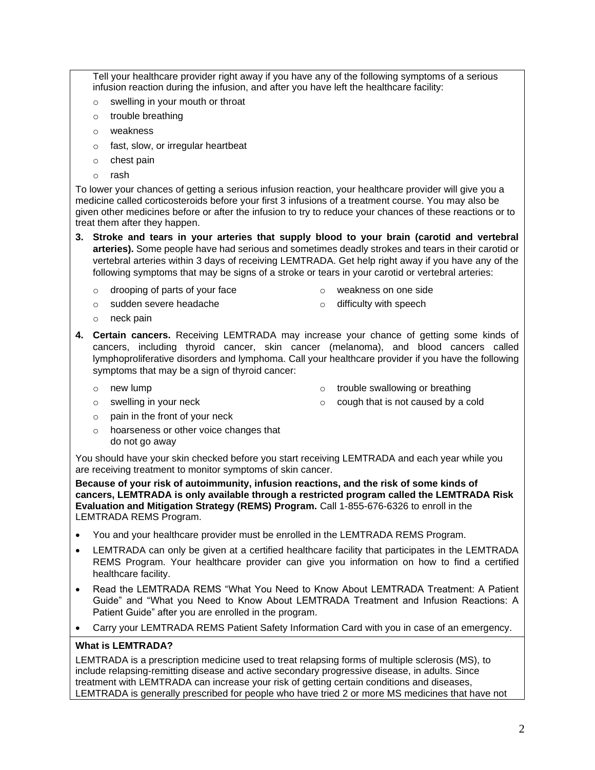Tell your healthcare provider right away if you have any of the following symptoms of a serious infusion reaction during the infusion, and after you have left the healthcare facility:

- o swelling in your mouth or throat
- o trouble breathing
- o weakness
- o fast, slow, or irregular heartbeat
- o chest pain
- o rash

To lower your chances of getting a serious infusion reaction, your healthcare provider will give you a medicine called corticosteroids before your first 3 infusions of a treatment course. You may also be given other medicines before or after the infusion to try to reduce your chances of these reactions or to treat them after they happen.

- **3. Stroke and tears in your arteries that supply blood to your brain (carotid and vertebral arteries).** Some people have had serious and sometimes deadly strokes and tears in their carotid or vertebral arteries within 3 days of receiving LEMTRADA. Get help right away if you have any of the following symptoms that may be signs of a stroke or tears in your carotid or vertebral arteries:
	- o drooping of parts of your face
- o weakness on one side

o sudden severe headache

o difficulty with speech

- o neck pain
- **4. Certain cancers.** Receiving LEMTRADA may increase your chance of getting some kinds of cancers, including thyroid cancer, skin cancer (melanoma), and blood cancers called lymphoproliferative disorders and lymphoma. Call your healthcare provider if you have the following symptoms that may be a sign of thyroid cancer:
	- o new lump
- o trouble swallowing or breathing
- o cough that is not caused by a cold

 $\circ$  pain in the front of your neck

o swelling in your neck

o hoarseness or other voice changes that do not go away

You should have your skin checked before you start receiving LEMTRADA and each year while you are receiving treatment to monitor symptoms of skin cancer.

**Because of your risk of autoimmunity, infusion reactions, and the risk of some kinds of cancers, LEMTRADA is only available through a restricted program called the LEMTRADA Risk Evaluation and Mitigation Strategy (REMS) Program.** Call 1-855-676-6326 to enroll in the LEMTRADA REMS Program.

- You and your healthcare provider must be enrolled in the LEMTRADA REMS Program.
- LEMTRADA can only be given at a certified healthcare facility that participates in the LEMTRADA REMS Program. Your healthcare provider can give you information on how to find a certified healthcare facility.
- Read the LEMTRADA REMS "What You Need to Know About LEMTRADA Treatment: A Patient Guide" and "What you Need to Know About LEMTRADA Treatment and Infusion Reactions: A Patient Guide" after you are enrolled in the program.
- Carry your LEMTRADA REMS Patient Safety Information Card with you in case of an emergency.

#### **What is LEMTRADA?**

LEMTRADA is a prescription medicine used to treat relapsing forms of multiple sclerosis (MS), to include relapsing-remitting disease and active secondary progressive disease, in adults. Since treatment with LEMTRADA can increase your risk of getting certain conditions and diseases, LEMTRADA is generally prescribed for people who have tried 2 or more MS medicines that have not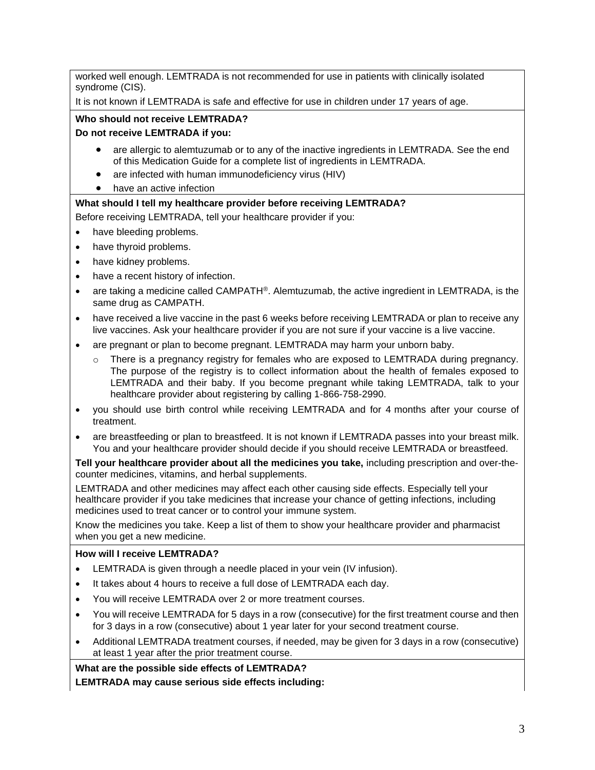worked well enough. LEMTRADA is not recommended for use in patients with clinically isolated syndrome (CIS).

It is not known if LEMTRADA is safe and effective for use in children under 17 years of age.

#### **Who should not receive LEMTRADA?**

#### **Do not receive LEMTRADA if you:**

- are allergic to alemtuzumab or to any of the inactive ingredients in LEMTRADA. See the end of this Medication Guide for a complete list of ingredients in LEMTRADA.
- are infected with human immunodeficiency virus (HIV)
- have an active infection

#### **What should I tell my healthcare provider before receiving LEMTRADA?**

Before receiving LEMTRADA, tell your healthcare provider if you:

- have bleeding problems.
- have thyroid problems.
- have kidney problems.
- have a recent history of infection.
- are taking a medicine called CAMPATH<sup>®</sup>. Alemtuzumab, the active ingredient in LEMTRADA, is the same drug as CAMPATH.
- have received a live vaccine in the past 6 weeks before receiving LEMTRADA or plan to receive any live vaccines. Ask your healthcare provider if you are not sure if your vaccine is a live vaccine.
- are pregnant or plan to become pregnant. LEMTRADA may harm your unborn baby.
	- o There is a pregnancy registry for females who are exposed to LEMTRADA during pregnancy. The purpose of the registry is to collect information about the health of females exposed to LEMTRADA and their baby. If you become pregnant while taking LEMTRADA, talk to your healthcare provider about registering by calling 1-866-758-2990.
- you should use birth control while receiving LEMTRADA and for 4 months after your course of treatment.
- are breastfeeding or plan to breastfeed. It is not known if LEMTRADA passes into your breast milk. You and your healthcare provider should decide if you should receive LEMTRADA or breastfeed.

**Tell your healthcare provider about all the medicines you take,** including prescription and over-thecounter medicines, vitamins, and herbal supplements.

LEMTRADA and other medicines may affect each other causing side effects. Especially tell your healthcare provider if you take medicines that increase your chance of getting infections, including medicines used to treat cancer or to control your immune system.

Know the medicines you take. Keep a list of them to show your healthcare provider and pharmacist when you get a new medicine.

#### **How will I receive LEMTRADA?**

- LEMTRADA is given through a needle placed in your vein (IV infusion).
- It takes about 4 hours to receive a full dose of LEMTRADA each day.
- You will receive LEMTRADA over 2 or more treatment courses.
- You will receive LEMTRADA for 5 days in a row (consecutive) for the first treatment course and then for 3 days in a row (consecutive) about 1 year later for your second treatment course.
- Additional LEMTRADA treatment courses, if needed, may be given for 3 days in a row (consecutive) at least 1 year after the prior treatment course.

**What are the possible side effects of LEMTRADA?**

**LEMTRADA may cause serious side effects including:**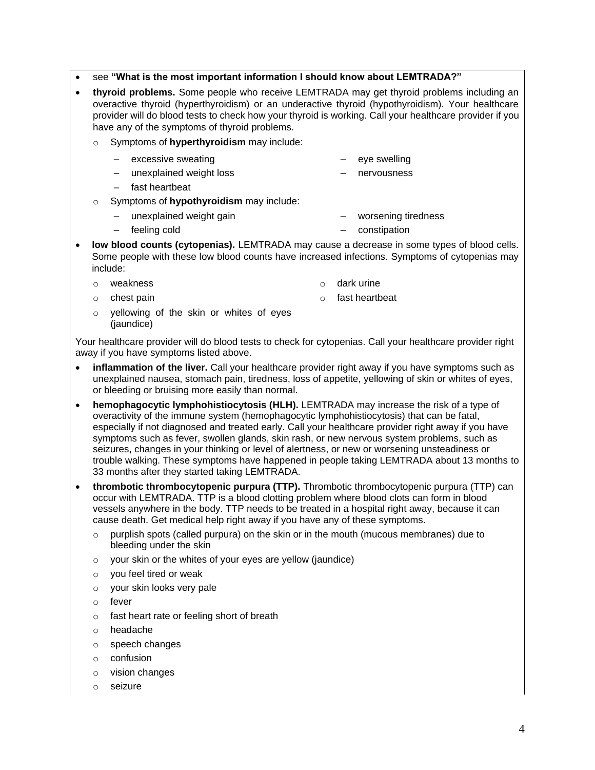- see **"What is the most important information I should know about LEMTRADA?"**
- **thyroid problems.** Some people who receive LEMTRADA may get thyroid problems including an overactive thyroid (hyperthyroidism) or an underactive thyroid (hypothyroidism). Your healthcare provider will do blood tests to check how your thyroid is working. Call your healthcare provider if you have any of the symptoms of thyroid problems.
	- o Symptoms of **hyperthyroidism** may include:
		- excessive sweating
- eye swelling
- unexplained weight loss – nervousness
- fast heartbeat
- o Symptoms of **hypothyroidism** may include:
	- unexplained weight gain
- worsening tiredness
- feeling cold – constipation
- **low blood counts (cytopenias).** LEMTRADA may cause a decrease in some types of blood cells. Some people with these low blood counts have increased infections. Symptoms of cytopenias may include:
	- o weakness

o dark urine

o chest pain

- o fast heartbeat
- o yellowing of the skin or whites of eyes (jaundice)

Your healthcare provider will do blood tests to check for cytopenias. Call your healthcare provider right away if you have symptoms listed above.

- **inflammation of the liver.** Call your healthcare provider right away if you have symptoms such as unexplained nausea, stomach pain, tiredness, loss of appetite, yellowing of skin or whites of eyes, or bleeding or bruising more easily than normal.
- **hemophagocytic lymphohistiocytosis (HLH).** LEMTRADA may increase the risk of a type of overactivity of the immune system (hemophagocytic lymphohistiocytosis) that can be fatal, especially if not diagnosed and treated early. Call your healthcare provider right away if you have symptoms such as fever, swollen glands, skin rash, or new nervous system problems, such as seizures, changes in your thinking or level of alertness, or new or worsening unsteadiness or trouble walking. These symptoms have happened in people taking LEMTRADA about 13 months to 33 months after they started taking LEMTRADA.
- **thrombotic thrombocytopenic purpura (TTP).** Thrombotic thrombocytopenic purpura (TTP) can occur with LEMTRADA. TTP is a blood clotting problem where blood clots can form in blood vessels anywhere in the body. TTP needs to be treated in a hospital right away, because it can cause death. Get medical help right away if you have any of these symptoms.
	- $\circ$  purplish spots (called purpura) on the skin or in the mouth (mucous membranes) due to bleeding under the skin
	- $\circ$  your skin or the whites of your eyes are yellow (jaundice)
	- o you feel tired or weak
	- o your skin looks very pale
	- o fever
	- o fast heart rate or feeling short of breath
	- o headache
	- o speech changes
	- o confusion
	- o vision changes
	- o seizure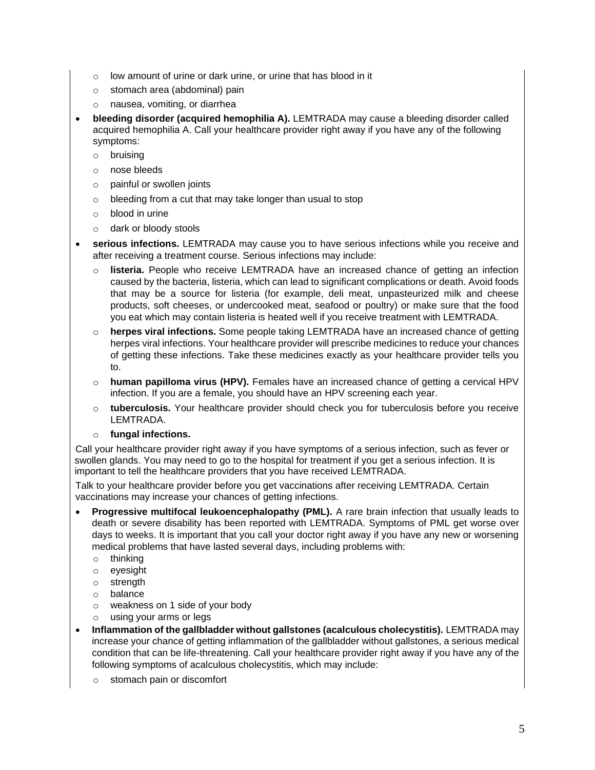- o low amount of urine or dark urine, or urine that has blood in it
- o stomach area (abdominal) pain
- o nausea, vomiting, or diarrhea
- **bleeding disorder (acquired hemophilia A).** LEMTRADA may cause a bleeding disorder called acquired hemophilia A. Call your healthcare provider right away if you have any of the following symptoms:
	- o bruising
	- o nose bleeds
	- o painful or swollen joints
	- o bleeding from a cut that may take longer than usual to stop
	- o blood in urine
	- o dark or bloody stools
- **serious infections.** LEMTRADA may cause you to have serious infections while you receive and after receiving a treatment course. Serious infections may include:
	- o **listeria.** People who receive LEMTRADA have an increased chance of getting an infection caused by the bacteria, listeria, which can lead to significant complications or death. Avoid foods that may be a source for listeria (for example, deli meat, unpasteurized milk and cheese products, soft cheeses, or undercooked meat, seafood or poultry) or make sure that the food you eat which may contain listeria is heated well if you receive treatment with LEMTRADA.
	- o **herpes viral infections.** Some people taking LEMTRADA have an increased chance of getting herpes viral infections. Your healthcare provider will prescribe medicines to reduce your chances of getting these infections. Take these medicines exactly as your healthcare provider tells you to.
	- o **human papilloma virus (HPV).** Females have an increased chance of getting a cervical HPV infection. If you are a female, you should have an HPV screening each year.
	- o **tuberculosis.** Your healthcare provider should check you for tuberculosis before you receive LEMTRADA.
	- o **fungal infections.**

Call your healthcare provider right away if you have symptoms of a serious infection, such as fever or swollen glands. You may need to go to the hospital for treatment if you get a serious infection. It is important to tell the healthcare providers that you have received LEMTRADA.

Talk to your healthcare provider before you get vaccinations after receiving LEMTRADA. Certain vaccinations may increase your chances of getting infections.

- **Progressive multifocal leukoencephalopathy (PML).** A rare brain infection that usually leads to death or severe disability has been reported with LEMTRADA. Symptoms of PML get worse over days to weeks. It is important that you call your doctor right away if you have any new or worsening medical problems that have lasted several days, including problems with:
	- o thinking
	- o eyesight
	- o strength
	- o balance
	- o weakness on 1 side of your body
	- o using your arms or legs
- **Inflammation of the gallbladder without gallstones (acalculous cholecystitis).** LEMTRADA may increase your chance of getting inflammation of the gallbladder without gallstones, a serious medical condition that can be life-threatening. Call your healthcare provider right away if you have any of the following symptoms of acalculous cholecystitis, which may include:
	- o stomach pain or discomfort